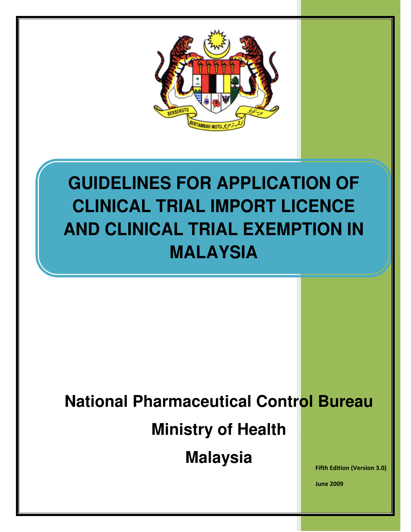

# **GUIDELINES FOR APPLICATION OF CLINICAL TRIAL IMPORT LICENCE AND CLINICAL TRIAL EXEMPTION IN MALAYSIA**

# **National Pharmaceutical Control Bureau**

# **Ministry of Health**

**Malaysia** 

Fifth Edition (Version 3.0)

June 2009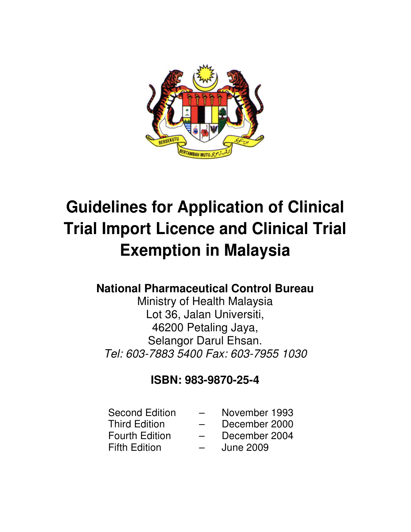

# **Guidelines for Application of Clinical Trial Import Licence and Clinical Trial Exemption in Malaysia**

# **National Pharmaceutical Control Bureau**

Ministry of Health Malaysia Lot 36, Jalan Universiti, 46200 Petaling Jaya, Selangor Darul Ehsan. Tel: 603-7883 5400 Fax: 603-7955 1030

# **ISBN: 983-9870-25-4**

| <b>Second Edition</b> | $\overline{\phantom{0}}$ | November 1993    |
|-----------------------|--------------------------|------------------|
| <b>Third Edition</b>  |                          | December 2000    |
| <b>Fourth Edition</b> |                          | December 2004    |
| <b>Fifth Edition</b>  | $\overline{\phantom{0}}$ | <b>June 2009</b> |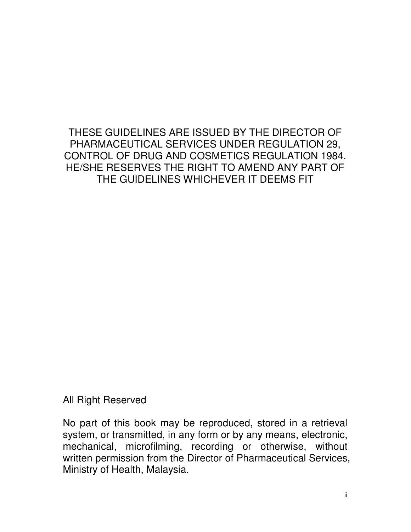THESE GUIDELINES ARE ISSUED BY THE DIRECTOR OF PHARMACEUTICAL SERVICES UNDER REGULATION 29, CONTROL OF DRUG AND COSMETICS REGULATION 1984. HE/SHE RESERVES THE RIGHT TO AMEND ANY PART OF THE GUIDELINES WHICHEVER IT DEEMS FIT

All Right Reserved

No part of this book may be reproduced, stored in a retrieval system, or transmitted, in any form or by any means, electronic, mechanical, microfilming, recording or otherwise, without written permission from the Director of Pharmaceutical Services, Ministry of Health, Malaysia.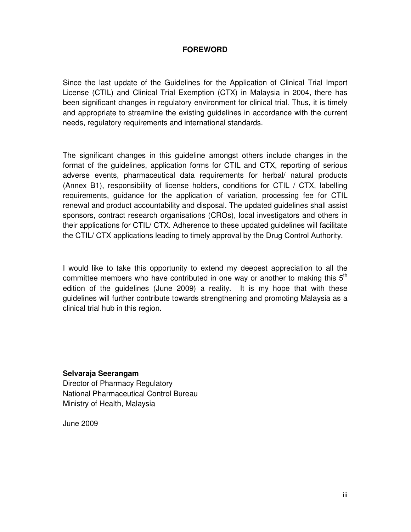#### **FOREWORD**

Since the last update of the Guidelines for the Application of Clinical Trial Import License (CTIL) and Clinical Trial Exemption (CTX) in Malaysia in 2004, there has been significant changes in regulatory environment for clinical trial. Thus, it is timely and appropriate to streamline the existing guidelines in accordance with the current needs, regulatory requirements and international standards.

The significant changes in this guideline amongst others include changes in the format of the guidelines, application forms for CTIL and CTX, reporting of serious adverse events, pharmaceutical data requirements for herbal/ natural products (Annex B1), responsibility of license holders, conditions for CTIL / CTX, labelling requirements, guidance for the application of variation, processing fee for CTIL renewal and product accountability and disposal. The updated guidelines shall assist sponsors, contract research organisations (CROs), local investigators and others in their applications for CTIL/ CTX. Adherence to these updated guidelines will facilitate the CTIL/ CTX applications leading to timely approval by the Drug Control Authority.

I would like to take this opportunity to extend my deepest appreciation to all the committee members who have contributed in one way or another to making this 5<sup>th</sup> edition of the guidelines (June 2009) a reality. It is my hope that with these guidelines will further contribute towards strengthening and promoting Malaysia as a clinical trial hub in this region.

#### **Selvaraja Seerangam**

Director of Pharmacy Regulatory National Pharmaceutical Control Bureau Ministry of Health, Malaysia

June 2009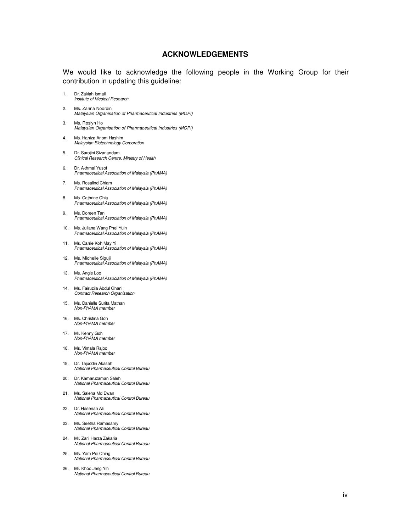#### **ACKNOWLEDGEMENTS**

We would like to acknowledge the following people in the Working Group for their contribution in updating this guideline:

- 1. Dr. Zakiah Ismail Institute of Medical Research
- 2. Ms. Zarina Noordin Malaysian Organisation of Pharmaceutical Industries (MOPI)
- 3. Ms. Roslyn Ho Malaysian Organisation of Pharmaceutical Industries (MOPI)
- 4. Ms. Haniza Anom Hashim Malaysian Biotechnology Corporation
- 5. Dr. Sarojini Sivanandam Clinical Research Centre, Ministry of Health
- 6. Dr. Akhmal Yusof Pharmaceutical Association of Malaysia (PhAMA)
- 7. Ms. Rosalind Chiam Pharmaceutical Association of Malaysia (PhAMA)
- 8. Ms. Cathrine Chia Pharmaceutical Association of Malaysia (PhAMA)
- 9. Ms. Doreen Tan Pharmaceutical Association of Malaysia (PhAMA)
- 10. Ms. Juliana Wang Phei Yuin Pharmaceutical Association of Malaysia (PhAMA)
- 11. Ms. Carrie Koh May Yi Pharmaceutical Association of Malaysia (PhAMA)
- 12. Ms. Michelle Siguji Pharmaceutical Association of Malaysia (PhAMA)
- 13. Ms. Angie Loo Pharmaceutical Association of Malaysia (PhAMA)
- 14. Ms. Fairuzila Abdul Ghani Contract Research Organisation
- 15. Ms. Danielle Surita Mathan Non-PhAMA member
- 16. Ms. Christina Goh Non-PhAMA member
- 17. Mr. Kenny Goh Non-PhAMA member
- 18. Ms. Vimala Rajoo Non-PhAMA member
- 19. Dr. Tajuddin Akasah National Pharmaceutical Control Bureau
- 20. Dr. Kamaruzaman Saleh National Pharmaceutical Control Bureau
- 21. Ms. Saleha Md Ewan National Pharmaceutical Control Bureau
- 22. Dr. Hasenah Ali National Pharmaceutical Control Bureau
- 23. Ms. Seetha Ramasamy National Pharmaceutical Control Bureau
- 24. Mr. Zaril Harza Zakaria National Pharmaceutical Control Bureau
- 25. Ms. Yam Pei Ching National Pharmaceutical Control Bureau
- 26. Mr. Khoo Jeng Yih National Pharmaceutical Control Bureau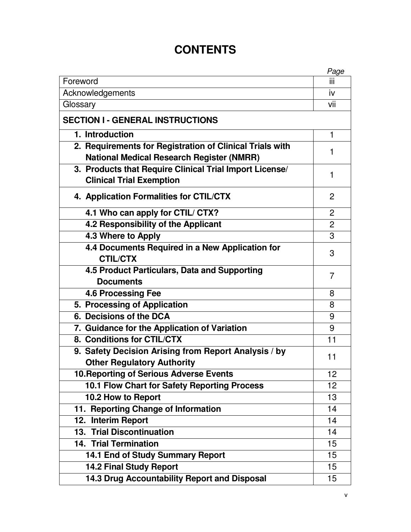# **CONTENTS**

|                                                                                                              | Page           |
|--------------------------------------------------------------------------------------------------------------|----------------|
| Foreword                                                                                                     | Ϊiί            |
| Acknowledgements                                                                                             | <b>iv</b>      |
| Glossary                                                                                                     | vii            |
| <b>SECTION I - GENERAL INSTRUCTIONS</b>                                                                      |                |
| 1. Introduction                                                                                              | 1              |
| 2. Requirements for Registration of Clinical Trials with<br><b>National Medical Research Register (NMRR)</b> | 1              |
| 3. Products that Require Clinical Trial Import License/<br><b>Clinical Trial Exemption</b>                   | 1              |
| 4. Application Formalities for CTIL/CTX                                                                      | 2              |
| 4.1 Who can apply for CTIL/ CTX?                                                                             | 2              |
| 4.2 Responsibility of the Applicant                                                                          | $\overline{2}$ |
| 4.3 Where to Apply                                                                                           | 3              |
| 4.4 Documents Required in a New Application for<br><b>CTIL/CTX</b>                                           | 3              |
| 4.5 Product Particulars, Data and Supporting<br><b>Documents</b>                                             | 7              |
| <b>4.6 Processing Fee</b>                                                                                    | 8              |
| 5. Processing of Application                                                                                 | 8              |
| 6. Decisions of the DCA                                                                                      | 9              |
| 7. Guidance for the Application of Variation                                                                 | 9              |
| 8. Conditions for CTIL/CTX                                                                                   | 11             |
| 9. Safety Decision Arising from Report Analysis / by<br><b>Other Regulatory Authority</b>                    | 11             |
| <b>10. Reporting of Serious Adverse Events</b>                                                               | 12             |
| 10.1 Flow Chart for Safety Reporting Process                                                                 | 12             |
| 10.2 How to Report                                                                                           | 13             |
| 11. Reporting Change of Information                                                                          | 14             |
| 12. Interim Report                                                                                           | 14             |
| 13. Trial Discontinuation                                                                                    | 14             |
| <b>14. Trial Termination</b>                                                                                 | 15             |
| <b>14.1 End of Study Summary Report</b>                                                                      | 15             |
| <b>14.2 Final Study Report</b>                                                                               | 15             |
| 14.3 Drug Accountability Report and Disposal                                                                 | 15             |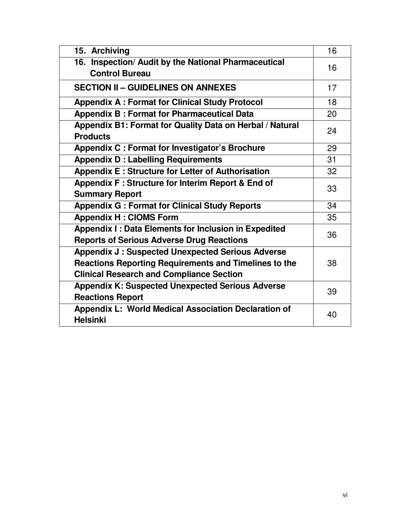| 15. Archiving                                                                                                                                                              | 16 |
|----------------------------------------------------------------------------------------------------------------------------------------------------------------------------|----|
| 16. Inspection/ Audit by the National Pharmaceutical<br><b>Control Bureau</b>                                                                                              | 16 |
| <b>SECTION II - GUIDELINES ON ANNEXES</b>                                                                                                                                  | 17 |
| <b>Appendix A: Format for Clinical Study Protocol</b>                                                                                                                      | 18 |
| <b>Appendix B: Format for Pharmaceutical Data</b>                                                                                                                          | 20 |
| Appendix B1: Format for Quality Data on Herbal / Natural<br><b>Products</b>                                                                                                | 24 |
| <b>Appendix C: Format for Investigator's Brochure</b>                                                                                                                      | 29 |
| <b>Appendix D: Labelling Requirements</b>                                                                                                                                  | 31 |
| <b>Appendix E: Structure for Letter of Authorisation</b>                                                                                                                   | 32 |
| Appendix F: Structure for Interim Report & End of<br><b>Summary Report</b>                                                                                                 | 33 |
| <b>Appendix G: Format for Clinical Study Reports</b>                                                                                                                       | 34 |
| <b>Appendix H: CIOMS Form</b>                                                                                                                                              | 35 |
| <b>Appendix I: Data Elements for Inclusion in Expedited</b><br><b>Reports of Serious Adverse Drug Reactions</b>                                                            | 36 |
| <b>Appendix J: Suspected Unexpected Serious Adverse</b><br><b>Reactions Reporting Requirements and Timelines to the</b><br><b>Clinical Research and Compliance Section</b> | 38 |
| <b>Appendix K: Suspected Unexpected Serious Adverse</b><br><b>Reactions Report</b>                                                                                         | 39 |
| Appendix L: World Medical Association Declaration of<br><b>Helsinki</b>                                                                                                    | 40 |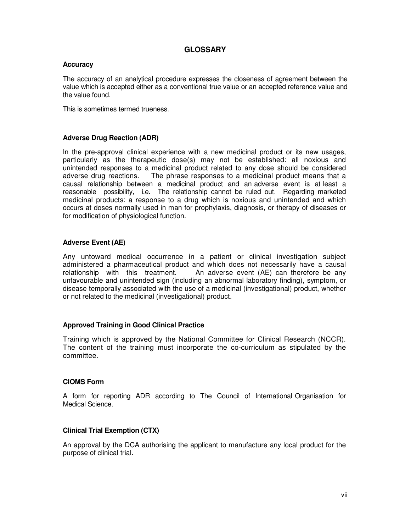#### **GLOSSARY**

#### **Accuracy**

The accuracy of an analytical procedure expresses the closeness of agreement between the value which is accepted either as a conventional true value or an accepted reference value and the value found.

This is sometimes termed trueness.

#### **Adverse Drug Reaction (ADR)**

In the pre-approval clinical experience with a new medicinal product or its new usages, particularly as the therapeutic dose(s) may not be established: all noxious and unintended responses to a medicinal product related to any dose should be considered adverse drug reactions. The phrase responses to a medicinal product means that a causal relationship between a medicinal product and an adverse event is at least a reasonable possibility, i.e. The relationship cannot be ruled out. Regarding marketed medicinal products: a response to a drug which is noxious and unintended and which occurs at doses normally used in man for prophylaxis, diagnosis, or therapy of diseases or for modification of physiological function.

#### **Adverse Event (AE)**

Any untoward medical occurrence in a patient or clinical investigation subject administered a pharmaceutical product and which does not necessarily have a causal relationship with this treatment. An adverse event (AE) can therefore be any unfavourable and unintended sign (including an abnormal laboratory finding), symptom, or disease temporally associated with the use of a medicinal (investigational) product, whether or not related to the medicinal (investigational) product.

#### **Approved Training in Good Clinical Practice**

Training which is approved by the National Committee for Clinical Research (NCCR). The content of the training must incorporate the co-curriculum as stipulated by the committee.

#### **CIOMS Form**

A form for reporting ADR according to The Council of International Organisation for Medical Science.

#### **Clinical Trial Exemption (CTX)**

An approval by the DCA authorising the applicant to manufacture any local product for the purpose of clinical trial.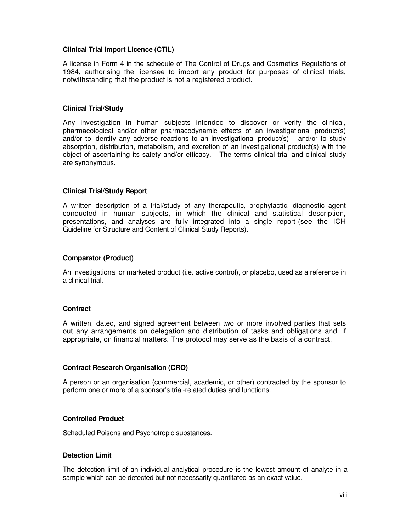#### **Clinical Trial Import Licence (CTIL)**

A license in Form 4 in the schedule of The Control of Drugs and Cosmetics Regulations of 1984, authorising the licensee to import any product for purposes of clinical trials, notwithstanding that the product is not a registered product.

#### **Clinical Trial/Study**

Any investigation in human subjects intended to discover or verify the clinical, pharmacological and/or other pharmacodynamic effects of an investigational product(s) and/or to identify any adverse reactions to an investigational product(s) and/or to study absorption, distribution, metabolism, and excretion of an investigational product(s) with the object of ascertaining its safety and/or efficacy. The terms clinical trial and clinical study are synonymous.

#### **Clinical Trial/Study Report**

A written description of a trial/study of any therapeutic, prophylactic, diagnostic agent conducted in human subjects, in which the clinical and statistical description, presentations, and analyses are fully integrated into a single report (see the ICH Guideline for Structure and Content of Clinical Study Reports).

#### **Comparator (Product)**

An investigational or marketed product (i.e. active control), or placebo, used as a reference in a clinical trial.

#### **Contract**

A written, dated, and signed agreement between two or more involved parties that sets out any arrangements on delegation and distribution of tasks and obligations and, if appropriate, on financial matters. The protocol may serve as the basis of a contract.

#### **Contract Research Organisation (CRO)**

A person or an organisation (commercial, academic, or other) contracted by the sponsor to perform one or more of a sponsor's trial-related duties and functions.

#### **Controlled Product**

Scheduled Poisons and Psychotropic substances.

#### **Detection Limit**

The detection limit of an individual analytical procedure is the lowest amount of analyte in a sample which can be detected but not necessarily quantitated as an exact value.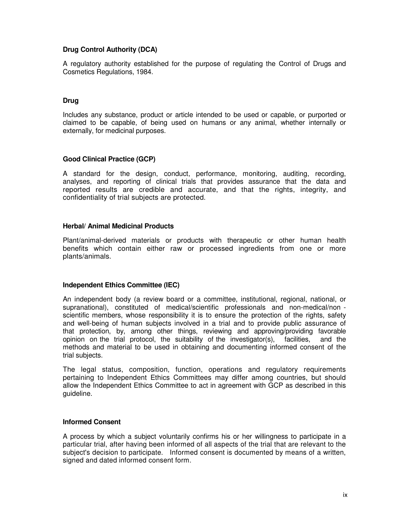#### **Drug Control Authority (DCA)**

A regulatory authority established for the purpose of regulating the Control of Drugs and Cosmetics Regulations, 1984.

#### **Drug**

Includes any substance, product or article intended to be used or capable, or purported or claimed to be capable, of being used on humans or any animal, whether internally or externally, for medicinal purposes.

#### **Good Clinical Practice (GCP)**

A standard for the design, conduct, performance, monitoring, auditing, recording, analyses, and reporting of clinical trials that provides assurance that the data and reported results are credible and accurate, and that the rights, integrity, and confidentiality of trial subjects are protected.

#### **Herbal/ Animal Medicinal Products**

Plant/animal-derived materials or products with therapeutic or other human health benefits which contain either raw or processed ingredients from one or more plants/animals.

#### **Independent Ethics Committee (IEC)**

An independent body (a review board or a committee, institutional, regional, national, or supranational), constituted of medical/scientific professionals and non-medical/non scientific members, whose responsibility it is to ensure the protection of the rights, safety and well-being of human subjects involved in a trial and to provide public assurance of that protection, by, among other things, reviewing and approving/providing favorable opinion on the trial protocol, the suitability of the investigator(s), facilities, and the methods and material to be used in obtaining and documenting informed consent of the trial subjects.

The legal status, composition, function, operations and regulatory requirements pertaining to Independent Ethics Committees may differ among countries, but should allow the Independent Ethics Committee to act in agreement with GCP as described in this guideline.

#### **Informed Consent**

A process by which a subject voluntarily confirms his or her willingness to participate in a particular trial, after having been informed of all aspects of the trial that are relevant to the subject's decision to participate. Informed consent is documented by means of a written, signed and dated informed consent form.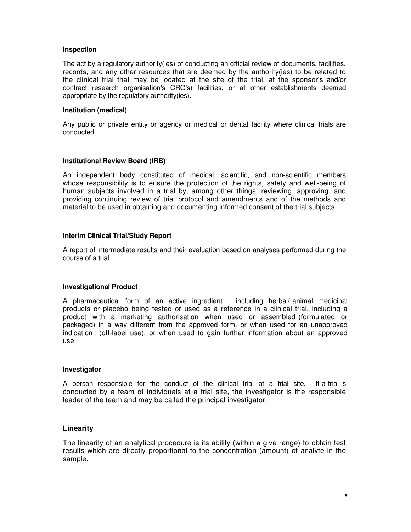#### **Inspection**

The act by a regulatory authority(ies) of conducting an official review of documents, facilities, records, and any other resources that are deemed by the authority(ies) to be related to the clinical trial that may be located at the site of the trial, at the sponsor's and/or contract research organisation's CRO's) facilities, or at other establishments deemed appropriate by the regulatory authority(ies).

#### **Institution (medical)**

Any public or private entity or agency or medical or dental facility where clinical trials are conducted.

#### **Institutional Review Board (IRB)**

An independent body constituted of medical, scientific, and non-scientific members whose responsibility is to ensure the protection of the rights, safety and well-being of human subjects involved in a trial by, among other things, reviewing, approving, and providing continuing review of trial protocol and amendments and of the methods and material to be used in obtaining and documenting informed consent of the trial subjects.

#### **Interim Clinical Trial/Study Report**

A report of intermediate results and their evaluation based on analyses performed during the course of a trial.

#### **Investigational Product**

A pharmaceutical form of an active ingredient including herbal/ animal medicinal products or placebo being tested or used as a reference in a clinical trial, including a product with a marketing authorisation when used or assembled (formulated or packaged) in a way different from the approved form, or when used for an unapproved indication (off-label use), or when used to gain further information about an approved use.

#### **Investigator**

A person responsible for the conduct of the clinical trial at a trial site. If a trial is conducted by a team of individuals at a trial site, the investigator is the responsible leader of the team and may be called the principal investigator.

#### **Linearity**

The linearity of an analytical procedure is its ability (within a give range) to obtain test results which are directly proportional to the concentration (amount) of analyte in the sample.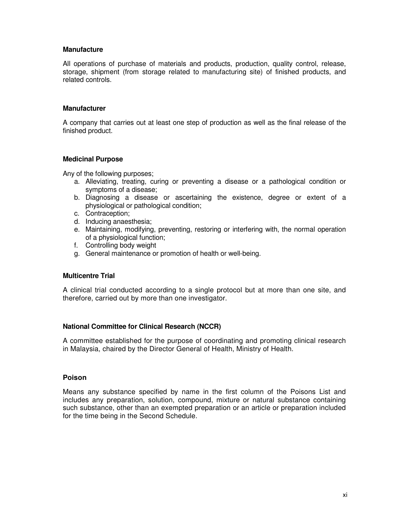#### **Manufacture**

All operations of purchase of materials and products, production, quality control, release, storage, shipment (from storage related to manufacturing site) of finished products, and related controls.

#### **Manufacturer**

A company that carries out at least one step of production as well as the final release of the finished product.

#### **Medicinal Purpose**

Any of the following purposes;

- a. Alleviating, treating, curing or preventing a disease or a pathological condition or symptoms of a disease;
- b. Diagnosing a disease or ascertaining the existence, degree or extent of a physiological or pathological condition;
- c. Contraception;
- d. Inducing anaesthesia;
- e. Maintaining, modifying, preventing, restoring or interfering with, the normal operation of a physiological function;
- f. Controlling body weight
- g. General maintenance or promotion of health or well-being.

#### **Multicentre Trial**

A clinical trial conducted according to a single protocol but at more than one site, and therefore, carried out by more than one investigator.

#### **National Committee for Clinical Research (NCCR)**

A committee established for the purpose of coordinating and promoting clinical research in Malaysia, chaired by the Director General of Health, Ministry of Health.

#### **Poison**

Means any substance specified by name in the first column of the Poisons List and includes any preparation, solution, compound, mixture or natural substance containing such substance, other than an exempted preparation or an article or preparation included for the time being in the Second Schedule.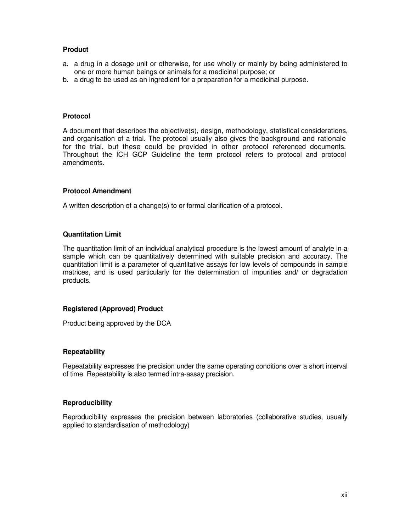#### **Product**

- a. a drug in a dosage unit or otherwise, for use wholly or mainly by being administered to one or more human beings or animals for a medicinal purpose; or
- b. a drug to be used as an ingredient for a preparation for a medicinal purpose.

#### **Protocol**

A document that describes the objective(s), design, methodology, statistical considerations, and organisation of a trial. The protocol usually also gives the background and rationale for the trial, but these could be provided in other protocol referenced documents. Throughout the ICH GCP Guideline the term protocol refers to protocol and protocol amendments.

#### **Protocol Amendment**

A written description of a change(s) to or formal clarification of a protocol.

#### **Quantitation Limit**

The quantitation limit of an individual analytical procedure is the lowest amount of analyte in a sample which can be quantitatively determined with suitable precision and accuracy. The quantitation limit is a parameter of quantitative assays for low levels of compounds in sample matrices, and is used particularly for the determination of impurities and/ or degradation products.

#### **Registered (Approved) Product**

Product being approved by the DCA

#### **Repeatability**

Repeatability expresses the precision under the same operating conditions over a short interval of time. Repeatability is also termed intra-assay precision.

#### **Reproducibility**

Reproducibility expresses the precision between laboratories (collaborative studies, usually applied to standardisation of methodology)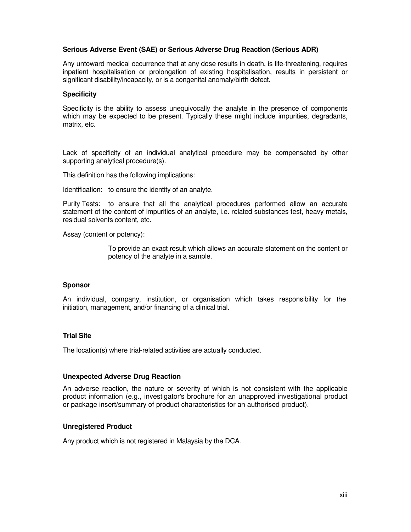#### **Serious Adverse Event (SAE) or Serious Adverse Drug Reaction (Serious ADR)**

Any untoward medical occurrence that at any dose results in death, is life-threatening, requires inpatient hospitalisation or prolongation of existing hospitalisation, results in persistent or significant disability/incapacity, or is a congenital anomaly/birth defect.

#### **Specificity**

Specificity is the ability to assess unequivocally the analyte in the presence of components which may be expected to be present. Typically these might include impurities, degradants, matrix, etc.

Lack of specificity of an individual analytical procedure may be compensated by other supporting analytical procedure(s).

This definition has the following implications:

Identification: to ensure the identity of an analyte.

Purity Tests: to ensure that all the analytical procedures performed allow an accurate statement of the content of impurities of an analyte, i.e. related substances test, heavy metals, residual solvents content, etc.

Assay (content or potency):

 To provide an exact result which allows an accurate statement on the content or potency of the analyte in a sample.

#### **Sponsor**

An individual, company, institution, or organisation which takes responsibility for the initiation, management, and/or financing of a clinical trial.

#### **Trial Site**

The location(s) where trial-related activities are actually conducted.

#### **Unexpected Adverse Drug Reaction**

An adverse reaction, the nature or severity of which is not consistent with the applicable product information (e.g., investigator's brochure for an unapproved investigational product or package insert/summary of product characteristics for an authorised product).

#### **Unregistered Product**

Any product which is not registered in Malaysia by the DCA.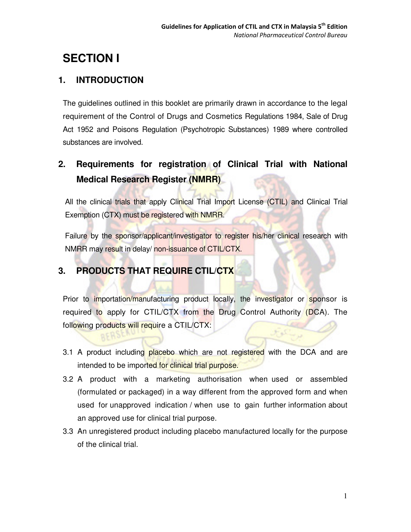# **SECTION I**

## **1. INTRODUCTION**

The guidelines outlined in this booklet are primarily drawn in accordance to the legal requirement of the Control of Drugs and Cosmetics Regulations 1984, Sale of Drug Act 1952 and Poisons Regulation (Psychotropic Substances) 1989 where controlled substances are involved.

## **2. Requirements for registration of Clinical Trial with National Medical Research Register (NMRR)**

All the clinical trials that apply Clinical Trial Import License (CTIL) and Clinical Trial Exemption (CTX) must be registered with NMRR.

Failure by the sponsor/applicant/investigator to register his/her clinical research with NMRR may result in delay/ non-issuance of CTIL/CTX.

## **3. PRODUCTS THAT REQUIRE CTIL/CTX**

Prior to importation/manufacturing product locally, the investigator or sponsor is required to apply for CTIL/CTX from the Drug Control Authority (DCA). The following products will require a CTIL/CTX:

- 3.1 A product including placebo which are not registered with the DCA and are intended to be imported for clinical trial purpose.
- 3.2 A product with a marketing authorisation when used or assembled (formulated or packaged) in a way different from the approved form and when used for unapproved indication / when use to gain further information about an approved use for clinical trial purpose.
- 3.3 An unregistered product including placebo manufactured locally for the purpose of the clinical trial.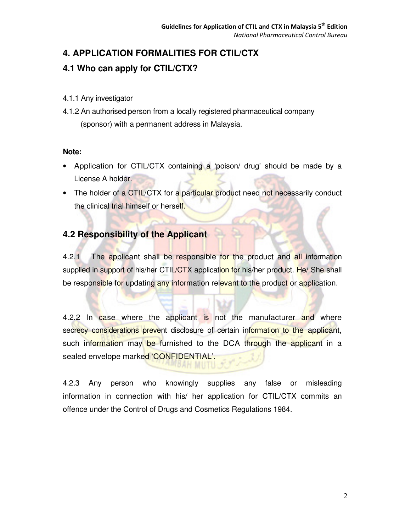## **4. APPLICATION FORMALITIES FOR CTIL/CTX**

## **4.1 Who can apply for CTIL/CTX?**

## 4.1.1 Any investigator

4.1.2 An authorised person from a locally registered pharmaceutical company (sponsor) with a permanent address in Malaysia.

## **Note:**

- Application for CTIL/CTX containing a 'poison/ drug' should be made by a License A holder.
- The holder of a CTIL/CTX for a particular product need not necessarily conduct the clinical trial himself or herself.

## **4.2 Responsibility of the Applicant**

4.2.1 The applicant shall be responsible for the product and all information supplied in support of his/her CTIL/CTX application for his/her product. He/ She shall be responsible for updating any information relevant to the product or application.

4.2.2 In case where the applicant is not the manufacturer and where secrecy considerations prevent disclosure of certain information to the applicant, such information may be furnished to the DCA through the applicant in a sealed envelope marked 'CONFIDENTIAL'.

4.2.3 Any person who knowingly supplies any false or misleading information in connection with his/ her application for CTIL/CTX commits an offence under the Control of Drugs and Cosmetics Regulations 1984.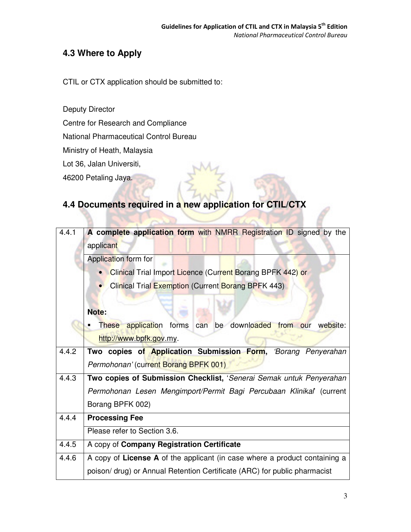## **4.3 Where to Apply**

CTIL or CTX application should be submitted to:

Deputy Director Centre for Research and Compliance National Pharmaceutical Control Bureau

Ministry of Heath, Malaysia

Lot 36, Jalan Universiti,

46200 Petaling Jaya.

## **4.4 Documents required in a new application for CTIL/CTX**

| 4.4.1 | A complete application form with NMRR Registration ID signed by the<br>applicant |  |  |  |
|-------|----------------------------------------------------------------------------------|--|--|--|
|       | Application form for                                                             |  |  |  |
|       | Clinical Trial Import Licence (Current Borang BPFK 442) or                       |  |  |  |
|       | Clinical Trial Exemption (Current Borang BPFK 443)                               |  |  |  |
|       | Note:                                                                            |  |  |  |
|       | website:<br>These application forms<br>can be downloaded from our                |  |  |  |
|       | http://www.bpfk.gov.my.                                                          |  |  |  |
| 4.4.2 | Two copies of Application Submission Form, 'Borang Penyerahan                    |  |  |  |
|       | Permohonan' (current Borang BPFK 001)                                            |  |  |  |
| 4.4.3 | Two copies of Submission Checklist, 'Senerai Semak untuk Penyerahan              |  |  |  |
|       | Permohonan Lesen Mengimport/Permit Bagi Percubaan Klinikal (current              |  |  |  |
|       | Borang BPFK 002)                                                                 |  |  |  |
| 4.4.4 | <b>Processing Fee</b>                                                            |  |  |  |
|       | Please refer to Section 3.6.                                                     |  |  |  |
| 4.4.5 | A copy of Company Registration Certificate                                       |  |  |  |
| 4.4.6 | A copy of License A of the applicant (in case where a product containing a       |  |  |  |
|       | poison/ drug) or Annual Retention Certificate (ARC) for public pharmacist        |  |  |  |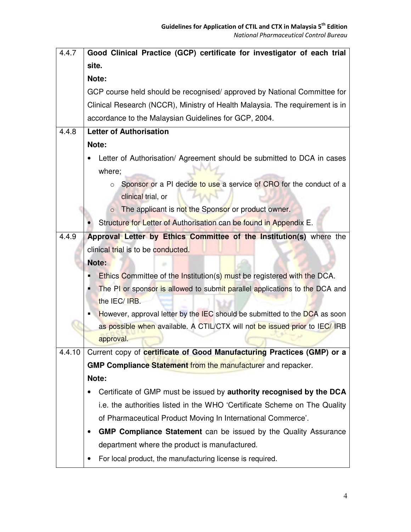| 4.4.7  | Good Clinical Practice (GCP) certificate for investigator of each trial             |  |  |  |  |
|--------|-------------------------------------------------------------------------------------|--|--|--|--|
|        | site.                                                                               |  |  |  |  |
|        | Note:                                                                               |  |  |  |  |
|        | GCP course held should be recognised/ approved by National Committee for            |  |  |  |  |
|        | Clinical Research (NCCR), Ministry of Health Malaysia. The requirement is in        |  |  |  |  |
|        | accordance to the Malaysian Guidelines for GCP, 2004.                               |  |  |  |  |
| 4.4.8  | <b>Letter of Authorisation</b>                                                      |  |  |  |  |
|        | Note:                                                                               |  |  |  |  |
|        | Letter of Authorisation/ Agreement should be submitted to DCA in cases              |  |  |  |  |
|        | where;                                                                              |  |  |  |  |
|        | Sponsor or a PI decide to use a service of CRO for the conduct of a<br>$\circ$      |  |  |  |  |
|        | clinical trial, or                                                                  |  |  |  |  |
|        | The applicant is not the Sponsor or product owner.<br>$\circ$                       |  |  |  |  |
|        | Structure for Letter of Authorisation can be found in Appendix E.                   |  |  |  |  |
| 4.4.9  | Approval Letter by Ethics Committee of the Institution(s) where the                 |  |  |  |  |
|        | clinical trial is to be conducted.                                                  |  |  |  |  |
|        | Note:                                                                               |  |  |  |  |
|        | Ethics Committee of the Institution(s) must be registered with the DCA.             |  |  |  |  |
|        | The PI or sponsor is allowed to submit parallel applications to the DCA and         |  |  |  |  |
|        | the IEC/IRB.                                                                        |  |  |  |  |
|        | However, approval letter by the IEC should be submitted to the DCA as soon<br>٠     |  |  |  |  |
|        | as possible when available. A CTIL/CTX will not be issued prior to IEC/ IRB         |  |  |  |  |
|        | approval.                                                                           |  |  |  |  |
| 4.4.10 | Current copy of <b>certificate of Good Manufacturing Practices (GMP)</b> or a       |  |  |  |  |
|        | GMP Compliance Statement from the manufacturer and repacker.                        |  |  |  |  |
|        | Note:                                                                               |  |  |  |  |
|        | Certificate of GMP must be issued by authority recognised by the DCA<br>٠           |  |  |  |  |
|        | i.e. the authorities listed in the WHO 'Certificate Scheme on The Quality           |  |  |  |  |
|        | of Pharmaceutical Product Moving In International Commerce'.                        |  |  |  |  |
|        | <b>GMP Compliance Statement</b> can be issued by the Quality Assurance<br>$\bullet$ |  |  |  |  |
|        | department where the product is manufactured.                                       |  |  |  |  |
|        | For local product, the manufacturing license is required.<br>٠                      |  |  |  |  |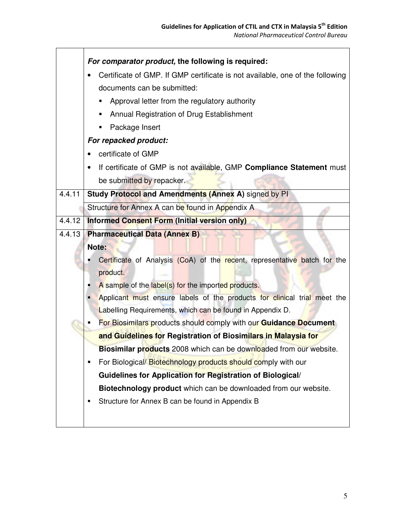|        | For comparator product, the following is required:                            |  |  |  |  |  |
|--------|-------------------------------------------------------------------------------|--|--|--|--|--|
|        | Certificate of GMP. If GMP certificate is not available, one of the following |  |  |  |  |  |
|        | documents can be submitted:                                                   |  |  |  |  |  |
|        | Approval letter from the regulatory authority<br>п                            |  |  |  |  |  |
|        | Annual Registration of Drug Establishment<br>٠                                |  |  |  |  |  |
|        | Package Insert<br>٠                                                           |  |  |  |  |  |
|        | For repacked product:                                                         |  |  |  |  |  |
|        | certificate of GMP<br>$\bullet$                                               |  |  |  |  |  |
|        | If certificate of GMP is not available, GMP Compliance Statement must         |  |  |  |  |  |
|        | be submitted by repacker.                                                     |  |  |  |  |  |
| 4.4.11 | Study Protocol and Amendments (Annex A) signed by PI                          |  |  |  |  |  |
|        | Structure for Annex A can be found in Appendix A                              |  |  |  |  |  |
| 4.4.12 | <b>Informed Consent Form (Initial version only)</b>                           |  |  |  |  |  |
| 4.4.13 | <b>Pharmaceutical Data (Annex B)</b>                                          |  |  |  |  |  |
|        | Note:                                                                         |  |  |  |  |  |
|        | Certificate of Analysis (CoA) of the recent, representative batch for the     |  |  |  |  |  |
|        | product.                                                                      |  |  |  |  |  |
|        | A sample of the label(s) for the imported products.<br>٠                      |  |  |  |  |  |
|        | Applicant must ensure labels of the products for clinical trial meet the<br>٠ |  |  |  |  |  |
|        | Labelling Requirements, which can be found in Appendix D.                     |  |  |  |  |  |
|        | For Biosimilars products should comply with our Guidance Document             |  |  |  |  |  |
|        | and Guidelines for Registration of Biosimilars in Malaysia for                |  |  |  |  |  |
|        | Biosimilar products 2008 which can be downloaded from our website.            |  |  |  |  |  |
|        | For Biological/Biotechnology products should comply with our<br>٠             |  |  |  |  |  |
|        | <b>Guidelines for Application for Registration of Biological/</b>             |  |  |  |  |  |
|        | Biotechnology product which can be downloaded from our website.               |  |  |  |  |  |
|        | Structure for Annex B can be found in Appendix B<br>٠                         |  |  |  |  |  |
|        |                                                                               |  |  |  |  |  |
|        |                                                                               |  |  |  |  |  |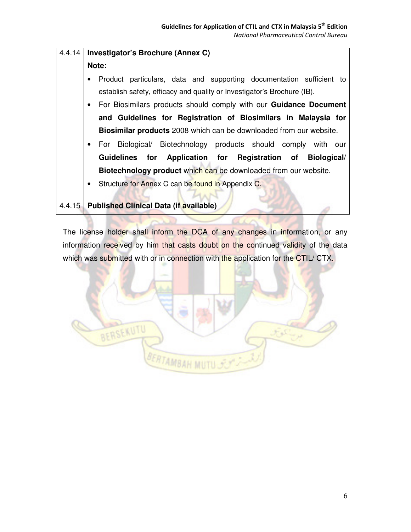| 4.4.14 | Investigator's Brochure (Annex C)                                                 |  |  |  |  |
|--------|-----------------------------------------------------------------------------------|--|--|--|--|
|        | Note:                                                                             |  |  |  |  |
|        | Product particulars, data and supporting documentation sufficient to<br>$\bullet$ |  |  |  |  |
|        | establish safety, efficacy and quality or Investigator's Brochure (IB).           |  |  |  |  |
|        | • For Biosimilars products should comply with our <b>Guidance Document</b>        |  |  |  |  |
|        | and Guidelines for Registration of Biosimilars in Malaysia for                    |  |  |  |  |
|        | Biosimilar products 2008 which can be downloaded from our website.                |  |  |  |  |
|        | • For Biological/ Biotechnology products should comply with our                   |  |  |  |  |
|        | Guidelines for Application for Registration of Biological/                        |  |  |  |  |
|        | Biotechnology product which can be downloaded from our website.                   |  |  |  |  |
|        | • Structure for Annex C can be found in Appendix C.                               |  |  |  |  |
|        |                                                                                   |  |  |  |  |
| 4.4.15 | <b>Published Clinical Data (if available)</b>                                     |  |  |  |  |

The license holder shall inform the DCA of any changes in information, or any information received by him that casts doubt on the continued validity of the data which was submitted with or in connection with the application for the CTIL/ CTX.

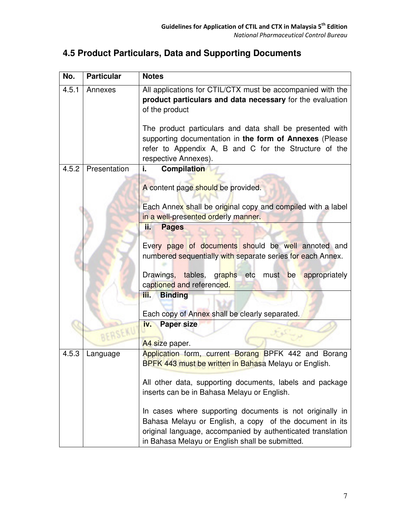# **4.5 Product Particulars, Data and Supporting Documents**

| No.                                 | <b>Particular</b>                        | <b>Notes</b>                                                                                                                                                                 |  |  |
|-------------------------------------|------------------------------------------|------------------------------------------------------------------------------------------------------------------------------------------------------------------------------|--|--|
| 4.5.1                               | Annexes                                  | All applications for CTIL/CTX must be accompanied with the<br>product particulars and data necessary for the evaluation                                                      |  |  |
|                                     |                                          | of the product                                                                                                                                                               |  |  |
|                                     |                                          | The product particulars and data shall be presented with<br>supporting documentation in the form of Annexes (Please<br>refer to Appendix A, B and C for the Structure of the |  |  |
|                                     |                                          |                                                                                                                                                                              |  |  |
|                                     |                                          | respective Annexes).                                                                                                                                                         |  |  |
| 4.5.2                               | Presentation<br><b>Compilation</b><br>i. |                                                                                                                                                                              |  |  |
|                                     |                                          | A content page should be provided.                                                                                                                                           |  |  |
|                                     |                                          | Each Annex shall be original copy and compiled with a label                                                                                                                  |  |  |
| in a well-presented orderly manner. |                                          |                                                                                                                                                                              |  |  |
|                                     |                                          | <b>Pages</b><br>ii.                                                                                                                                                          |  |  |
|                                     |                                          | Every page of documents should be well annoted and                                                                                                                           |  |  |
|                                     |                                          | numbered sequentially with separate series for each Annex.                                                                                                                   |  |  |
|                                     |                                          | Drawings, tables,<br>graphs etc<br>must be appropriately                                                                                                                     |  |  |
|                                     |                                          | captioned and referenced.                                                                                                                                                    |  |  |
|                                     |                                          | <b>Binding</b><br>iii.                                                                                                                                                       |  |  |
|                                     |                                          | Each copy of Annex shall be clearly separated.                                                                                                                               |  |  |
|                                     |                                          | <b>Paper size</b><br>iv.                                                                                                                                                     |  |  |
|                                     |                                          | A4 size paper.                                                                                                                                                               |  |  |
| 4.5.3                               | Language                                 | Application form, current Borang BPFK 442 and Borang<br>BPFK 443 must be written in Bahasa Melayu or English.                                                                |  |  |
|                                     |                                          |                                                                                                                                                                              |  |  |
|                                     |                                          | All other data, supporting documents, labels and package<br>inserts can be in Bahasa Melayu or English.                                                                      |  |  |
|                                     |                                          | In cases where supporting documents is not originally in                                                                                                                     |  |  |
|                                     |                                          | Bahasa Melayu or English, a copy of the document in its                                                                                                                      |  |  |
|                                     |                                          | original language, accompanied by authenticated translation                                                                                                                  |  |  |
|                                     |                                          | in Bahasa Melayu or English shall be submitted.                                                                                                                              |  |  |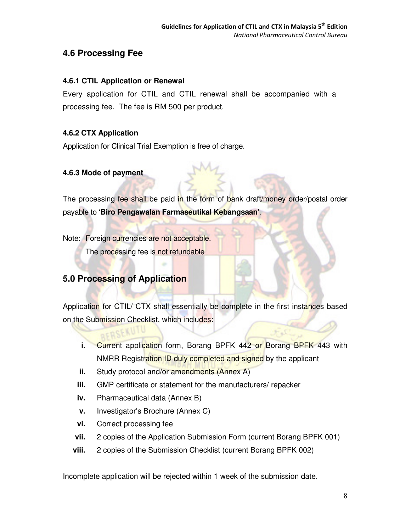## **4.6 Processing Fee**

## **4.6.1 CTIL Application or Renewal**

Every application for CTIL and CTIL renewal shall be accompanied with a processing fee. The fee is RM 500 per product.

## **4.6.2 CTX Application**

Application for Clinical Trial Exemption is free of charge.

## **4.6.3 Mode of payment**

The processing fee shall be paid in the form of bank draft/money order/postal order payable to '**Biro Pengawalan Farmaseutikal Kebangsaan**'.

Note: Foreign currencies are not acceptable. The processing fee is not refundable

## **5.0 Processing of Application**

Application for CTIL/ CTX shall essentially be complete in the first instances based on the Submission Checklist, which includes:

- **i.** Current application form, Borang BPFK 442 or Borang BPFK 443 with NMRR Registration ID duly completed and signed by the applicant
- **ii.** Study protocol and/or amendments (Annex A)
- **iii.** GMP certificate or statement for the manufacturers/ repacker
- **iv.** Pharmaceutical data (Annex B)
- **v.** Investigator's Brochure (Annex C)
- **vi.** Correct processing fee
- **vii.** 2 copies of the Application Submission Form (current Borang BPFK 001)
- **viii.** 2 copies of the Submission Checklist (current Borang BPFK 002)

Incomplete application will be rejected within 1 week of the submission date.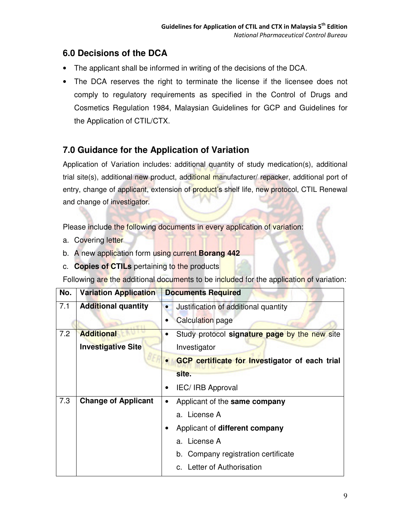## **6.0 Decisions of the DCA**

- The applicant shall be informed in writing of the decisions of the DCA.
- The DCA reserves the right to terminate the license if the licensee does not comply to regulatory requirements as specified in the Control of Drugs and Cosmetics Regulation 1984, Malaysian Guidelines for GCP and Guidelines for the Application of CTIL/CTX.

## **7.0 Guidance for the Application of Variation**

Application of Variation includes: additional quantity of study medication(s), additional trial site(s), additional new product, additional manufacturer/ repacker, additional port of entry, change of applicant, extension of **product's** shelf life, new protocol, CTIL Renewal and change of investigator.

Please include the following documents in every application of variation:

- a. Covering letter
- b. A new application form using current **Borang 442**
- c. **Copies of CTILs** pertaining to the products

Following are the additional documents to be included for the application of variation:

| No. | <b>Variation Application</b> | <b>Documents Required</b>                         |  |
|-----|------------------------------|---------------------------------------------------|--|
| 7.1 | <b>Additional quantity</b>   | Justification of additional quantity<br>$\bullet$ |  |
|     |                              | Calculation page                                  |  |
| 7.2 | <b>Additional</b>            | Study protocol signature page by the new site     |  |
|     | <b>Investigative Site</b>    | Investigator                                      |  |
|     |                              | GCP certificate for Investigator of each trial    |  |
|     |                              | site.                                             |  |
|     |                              | <b>IEC/ IRB Approval</b><br>٠                     |  |
| 7.3 | <b>Change of Applicant</b>   | Applicant of the same company<br>٠                |  |
|     |                              | a. License A                                      |  |
|     |                              | Applicant of different company                    |  |
|     |                              | a. License A                                      |  |
|     |                              | b. Company registration certificate               |  |
|     |                              | c. Letter of Authorisation                        |  |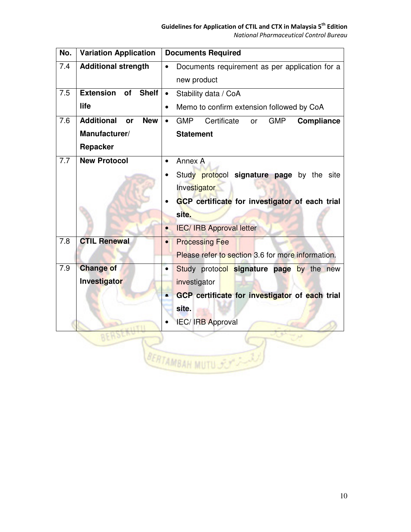## Guidelines for Application of CTIL and CTX in Malaysia 5<sup>th</sup> Edition

National Pharmaceutical Control Bureau

| No. | <b>Variation Application</b>           | <b>Documents Required</b>                                                       |  |  |
|-----|----------------------------------------|---------------------------------------------------------------------------------|--|--|
| 7.4 | <b>Additional strength</b>             | Documents requirement as per application for a                                  |  |  |
|     |                                        | new product                                                                     |  |  |
| 7.5 | <b>Extension</b><br>of<br><b>Shelf</b> | Stability data / CoA<br>$\bullet$                                               |  |  |
|     | life                                   | Memo to confirm extension followed by CoA                                       |  |  |
| 7.6 | <b>Additional</b><br><b>New</b><br>or  | <b>GMP</b><br>Certificate<br><b>Compliance</b><br><b>GMP</b><br>$\bullet$<br>or |  |  |
|     | Manufacturer/                          | <b>Statement</b>                                                                |  |  |
|     | Repacker                               |                                                                                 |  |  |
| 7.7 | <b>New Protocol</b>                    | Annex A<br>$\bullet$                                                            |  |  |
|     |                                        | Study protocol signature page by the site                                       |  |  |
|     |                                        | Investigator                                                                    |  |  |
|     |                                        | GCP certificate for investigator of each trial                                  |  |  |
|     |                                        | site.                                                                           |  |  |
|     |                                        | <b>IEC/ IRB Approval letter</b><br>$\bullet$                                    |  |  |
| 7.8 | <b>CTIL Renewal</b>                    | <b>Processing Fee</b><br>$\bullet$                                              |  |  |
|     |                                        | Please refer to section 3.6 for more information.                               |  |  |
| 7.9 | <b>Change of</b>                       | Study protocol signature page by the new                                        |  |  |
|     | Investigator                           | investigator                                                                    |  |  |
|     |                                        | GCP certificate for investigator of each trial                                  |  |  |
|     |                                        | site.                                                                           |  |  |
|     |                                        | <b>IEC/ IRB Approval</b>                                                        |  |  |
|     |                                        |                                                                                 |  |  |
|     |                                        |                                                                                 |  |  |
|     |                                        | BERTAMBAH                                                                       |  |  |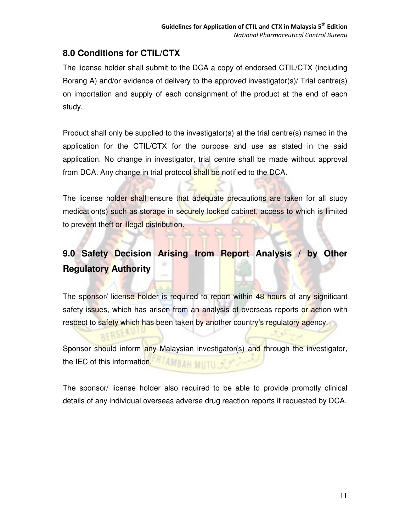## **8.0 Conditions for CTIL/CTX**

The license holder shall submit to the DCA a copy of endorsed CTIL/CTX (including Borang A) and/or evidence of delivery to the approved investigator(s)/ Trial centre(s) on importation and supply of each consignment of the product at the end of each study.

Product shall only be supplied to the investigator(s) at the trial centre(s) named in the application for the CTIL/CTX for the purpose and use as stated in the said application. No change in investigator, trial centre shall be made without approval from DCA. Any change in trial protocol shall be notified to the DCA.

The license holder shall ensure that adequate precautions are taken for all study medication(s) such as storage in securely locked cabinet, access to which is limited to prevent theft or illegal distribution.

# **9.0 Safety Decision Arising from Report Analysis / by Other Regulatory Authority**

The sponsor/ license holder is required to report within 48 hours of any significant safety issues, which has arisen from an analysis of overseas reports or action with respect to safety which has been taken by another country's regulatory agency.

Sponsor should inform any Malaysian investigator(s) and through the investigator, the IEC of this information.<sup>27</sup> LAMBAH MUTU

The sponsor/ license holder also required to be able to provide promptly clinical details of any individual overseas adverse drug reaction reports if requested by DCA.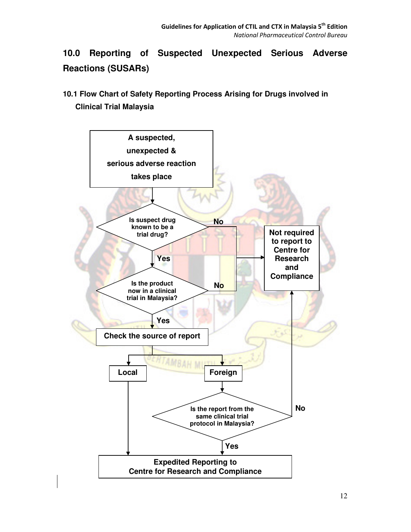**10.0 Reporting of Suspected Unexpected Serious Adverse Reactions (SUSARs)**

## **10.1 Flow Chart of Safety Reporting Process Arising for Drugs involved in Clinical Trial Malaysia**

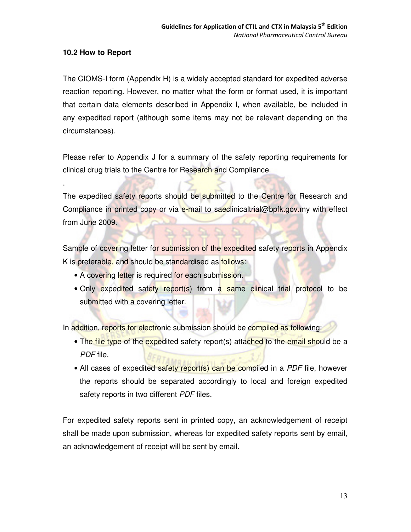#### **10.2 How to Report**

.

The CIOMS-I form (Appendix H) is a widely accepted standard for expedited adverse reaction reporting. However, no matter what the form or format used, it is important that certain data elements described in Appendix I, when available, be included in any expedited report (although some items may not be relevant depending on the circumstances).

Please refer to Appendix J for a summary of the safety reporting requirements for clinical drug trials to the Centre for Research and Compliance.

The expedited safety reports should be submitted to the Centre for Research and Compliance in printed copy or via e-mail to saeclinicaltrial@bpfk.gov.my with effect from June 2009.

Sample of covering letter for submission of the expedited safety reports in Appendix K is preferable, and should be standardised as follows:

- A covering letter is required for each submission.
- Only expedited safety report(s) from a same clinical trial protocol to be submitted with a covering letter.

In addition, reports for electronic submission should be compiled as following:

- The file type of the expedited safety report(s) attached to the email should be a PDF file.
- All cases of expedited safety report(s) can be compiled in a PDF file, however the reports should be separated accordingly to local and foreign expedited safety reports in two different PDF files.

For expedited safety reports sent in printed copy, an acknowledgement of receipt shall be made upon submission, whereas for expedited safety reports sent by email, an acknowledgement of receipt will be sent by email.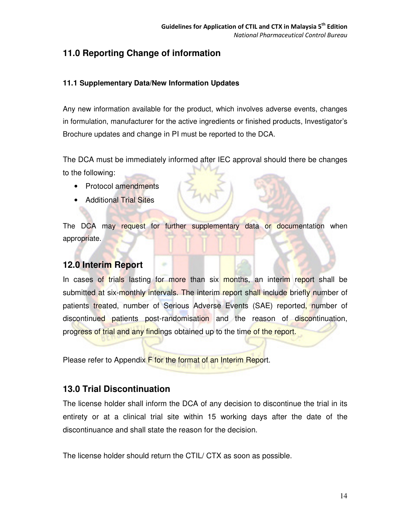## **11.0 Reporting Change of information**

#### **11.1 Supplementary Data/New Information Updates**

Any new information available for the product, which involves adverse events, changes in formulation, manufacturer for the active ingredients or finished products, Investigator's Brochure updates and change in PI must be reported to the DCA.

The DCA must be immediately informed after IEC approval should there be changes to the following:

- Protocol amendments
- **Additional Trial Sites**

The DCA may request for further supplementary data or documentation when appropriate.

## **12.0 Interim Report**

In cases of trials lasting for more than six months, an interim report shall be submitted at six-monthly intervals. The interim report shall include briefly number of patients treated, number of Serious Adverse Events (SAE) reported, number of discontinued patients post-randomisation and the reason of discontinuation, progress of trial and any findings obtained up to the time of the report.

Please refer to Appendix F for the format of an Interim Report.

## **13.0 Trial Discontinuation**

The license holder shall inform the DCA of any decision to discontinue the trial in its entirety or at a clinical trial site within 15 working days after the date of the discontinuance and shall state the reason for the decision.

The license holder should return the CTIL/ CTX as soon as possible.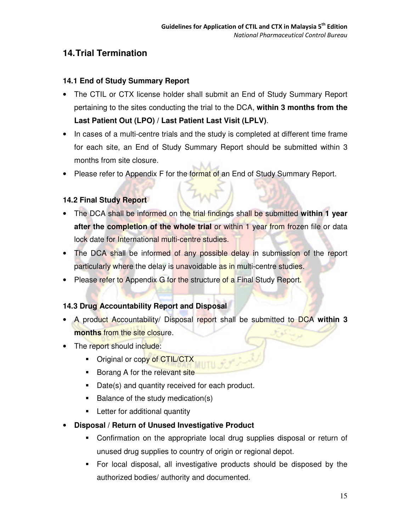## **14. Trial Termination**

## **14.1 End of Study Summary Report**

- The CTIL or CTX license holder shall submit an End of Study Summary Report pertaining to the sites conducting the trial to the DCA, **within 3 months from the Last Patient Out (LPO) / Last Patient Last Visit (LPLV)**.
- In cases of a multi-centre trials and the study is completed at different time frame for each site, an End of Study Summary Report should be submitted within 3 months from site closure.
- Please refer to Appendix F for the format of an End of Study Summary Report.

## **14.2 Final Study Report**

- The DCA shall be informed on the trial findings shall be submitted **within 1 year after the completion of the whole trial** or within 1 year from frozen file or data lock date for International multi-centre studies.
- The DCA shall be informed of any possible delay in submission of the report particularly where the delay is unavoidable as in multi-centre studies.
- Please refer to Appendix G for the structure of a Final Study Report.

## **14.3 Drug Accountability Report and Disposal**

- A product Accountability/ Disposal report shall be submitted to DCA **within 3 months** from the site closure.
- The report should include:
	- Original or copy of CTIL/CTX
	- **Borang A for the relevant site**
	- Date(s) and quantity received for each product.
	- $\blacksquare$  Balance of the study medication(s)
	- **EXECUTE:** Letter for additional quantity
- **Disposal / Return of Unused Investigative Product** 
	- Confirmation on the appropriate local drug supplies disposal or return of unused drug supplies to country of origin or regional depot.
	- For local disposal, all investigative products should be disposed by the authorized bodies/ authority and documented.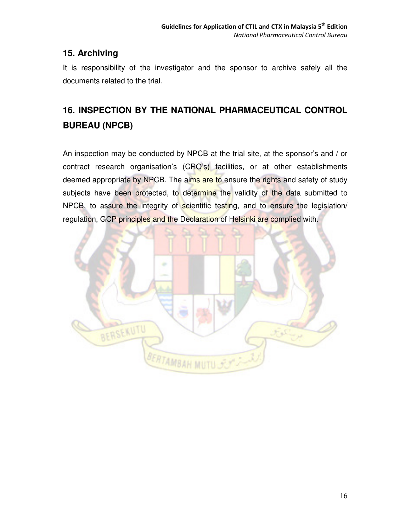## **15. Archiving**

It is responsibility of the investigator and the sponsor to archive safely all the documents related to the trial.

# **16. INSPECTION BY THE NATIONAL PHARMACEUTICAL CONTROL BUREAU (NPCB)**

An inspection may be conducted by NPCB at the trial site, at the sponsor's and / or contract research organisation's (CRO's) facilities, or at other establishments deemed appropriate by NPCB. The aims are to ensure the rights and safety of study subjects have been protected, to determine the validity of the data submitted to NPCB, to assure the integrity of scientific testing, and to ensure the legislation/ regulation, GCP principles and the Declaration of Helsinki are complied with.

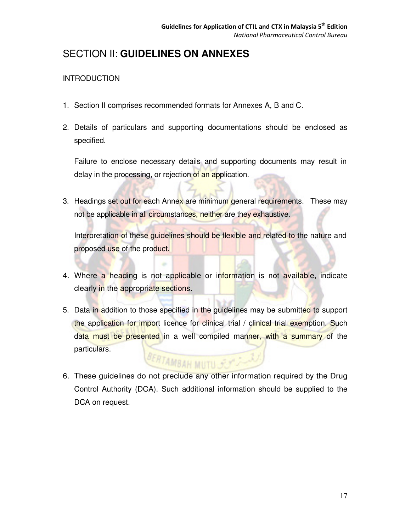# SECTION II: **GUIDELINES ON ANNEXES**

## INTRODUCTION

- 1. Section II comprises recommended formats for Annexes A, B and C.
- 2. Details of particulars and supporting documentations should be enclosed as specified.

Failure to enclose necessary details and supporting documents may result in delay in the processing, or rejection of an application.

3. Headings set out for each Annex are minimum general requirements. These may not be applicable in all circumstances, neither are they exhaustive.

Interpretation of these guidelines should be flexible and related to the nature and proposed use of the product.

- 4. Where a heading is not applicable or information is not available, indicate clearly in the appropriate sections.
- 5. Data in addition to those specified in the guidelines may be submitted to support the application for import licence for clinical trial / clinical trial exemption. Such data must be presented in a well compiled manner, with a summary of the particulars. BERTAMBAH MUTU J
- 6. These guidelines do not preclude any other information required by the Drug Control Authority (DCA). Such additional information should be supplied to the DCA on request.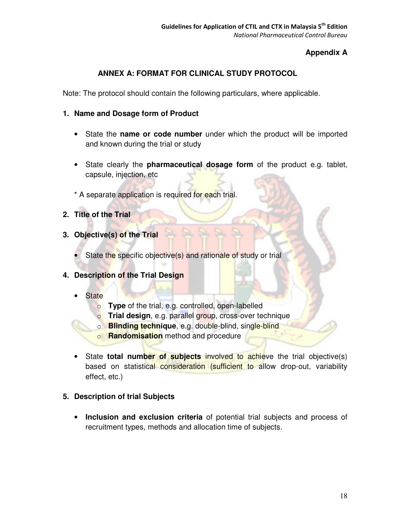## **Appendix A**

## **ANNEX A: FORMAT FOR CLINICAL STUDY PROTOCOL**

Note: The protocol should contain the following particulars, where applicable.

#### **1. Name and Dosage form of Product**

- State the **name or code number** under which the product will be imported and known during the trial or study
- State clearly the **pharmaceutical dosage form** of the product e.g. tablet, capsule, injection, etc
- \* A separate application is required for each trial.
- **2. Title of the Trial**
- **3. Objective(s) of the Trial**

State the specific objective(s) and rationale of study or trial

#### **4. Description of the Trial Design**

- **State** 
	- **o Type** of the trial, e.g. controlled, open-labelled
	- o **Trial design**, e.g. parallel group, cross-over technique
	- o **Blinding technique**, e.g. double-blind, single-blind
	- **Randomisation** method and procedure
- State **total number of subjects** involved to achieve the trial objective(s) based on statistical consideration (sufficient to allow drop-out, variability effect, etc.)

#### **5. Description of trial Subjects**

• **Inclusion and exclusion criteria** of potential trial subjects and process of recruitment types, methods and allocation time of subjects.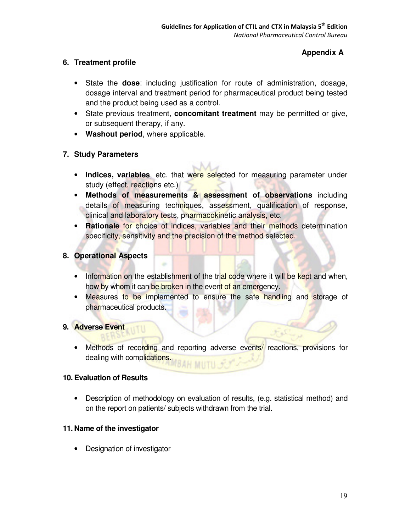## **Appendix A**

#### **6. Treatment profile**

- State the **dose**: including justification for route of administration, dosage, dosage interval and treatment period for pharmaceutical product being tested and the product being used as a control.
- State previous treatment, **concomitant treatment** may be permitted or give, or subsequent therapy, if any.
- **Washout period**, where applicable.

## **7. Study Parameters**

- **Indices, variables**, etc. that were selected for measuring parameter under study (effect, reactions etc.)
- **Methods of measurements & assessment of observations** including details of measuring techniques, assessment, qualification of response, clinical and laboratory tests, pharmacokinetic analysis, etc.
- **Rationale** for choice of indices, variables and their methods determination specificity, sensitivity and the precision of the method selected.

## **8. Operational Aspects**

- Information on the establishment of the trial code where it will be kept and when, how by whom it can be broken in the event of an emergency.
- Measures to be implemented to ensure the safe handling and storage of pharmaceutical products.

## **9. Adverse Event**

• Methods of recording and reporting adverse events/ reactions, provisions for dealing with complications. AH MUTU 3.

#### **10. Evaluation of Results**

• Description of methodology on evaluation of results, (e.g. statistical method) and on the report on patients/ subjects withdrawn from the trial.

#### **11. Name of the investigator**

• Designation of investigator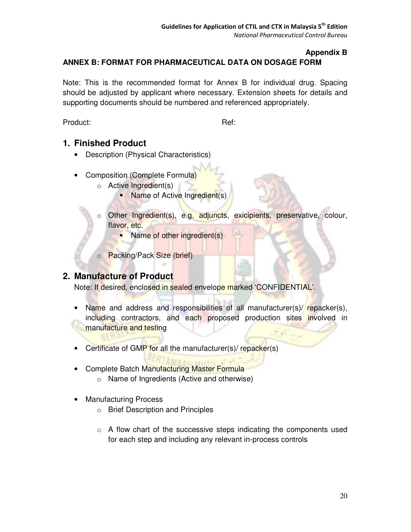## **ANNEX B: FORMAT FOR PHARMACEUTICAL DATA ON DOSAGE FORM**

Note: This is the recommended format for Annex B for individual drug. Spacing should be adjusted by applicant where necessary. Extension sheets for details and supporting documents should be numbered and referenced appropriately.

Product: Ref:

## **1. Finished Product**

- Description (Physical Characteristics)
- Composition (Complete Formula)
	- o Active Ingredient(s)
		- Name of Active Ingredient(s)
	- o Other Ingredient(s), e.g. adjuncts, exicipients, preservative, colour, flavor, etc.
		- Name of other ingredient(s)
	- o Packing/Pack Size (brief)

## **2. Manufacture of Product**

Note: If desired, enclosed in sealed envelope marked 'CONFIDENTIAL'.

- Name and address and responsibilities of all manufacturer(s)/ repacker(s), including contractors, and each proposed production sites involved in manufacture and testing
- Certificate of GMP for all the manufacturer(s)/ repacker(s)
- Complete Batch Manufacturing Master Formula
	- o Name of Ingredients (Active and otherwise)
- Manufacturing Process
	- o Brief Description and Principles
	- $\circ$  A flow chart of the successive steps indicating the components used for each step and including any relevant in-process controls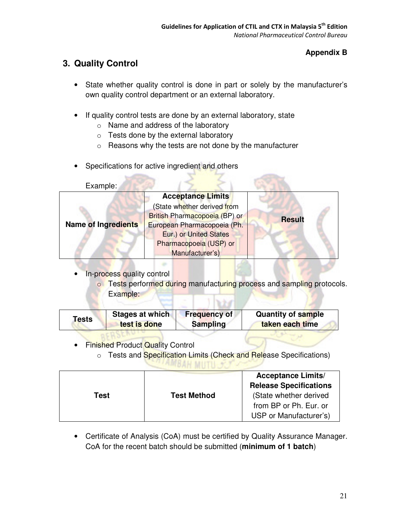## **3. Quality Control**

- State whether quality control is done in part or solely by the manufacturer's own quality control department or an external laboratory.
- If quality control tests are done by an external laboratory, state
	- o Name and address of the laboratory
	- o Tests done by the external laboratory
	- $\circ$  Reasons why the tests are not done by the manufacturer
- Specifications for active ingredient and others

| Example:                   |                               |               |
|----------------------------|-------------------------------|---------------|
|                            | <b>Acceptance Limits</b>      |               |
|                            | (State whether derived from   |               |
|                            | British Pharmacopoeia (BP) or | <b>Result</b> |
| <b>Name of Ingredients</b> | European Pharmacopoeia (Ph.   |               |
|                            | Eur.) or United States        |               |
|                            | Pharmacopoeia (USP) or        |               |
|                            | Manufacturer's)               |               |
|                            |                               |               |

- In-process quality control
	- o Tests performed during manufacturing process and sampling protocols. Example:

| Tests | Stages at which | <b>Frequency of</b> | <b>Quantity of sample</b> |
|-------|-----------------|---------------------|---------------------------|
|       | test is done    | <b>Sampling</b>     | taken each time           |
|       |                 |                     |                           |

- **Finished Product Quality Control** 
	- o Tests and Specification Limits (Check and Release Specifications)

|      |                    | <b>Acceptance Limits/</b><br><b>Release Specifications</b> |  |  |  |  |  |  |
|------|--------------------|------------------------------------------------------------|--|--|--|--|--|--|
| Test | <b>Test Method</b> | (State whether derived                                     |  |  |  |  |  |  |
|      |                    | from BP or Ph. Eur. or                                     |  |  |  |  |  |  |
|      |                    | USP or Manufacturer's)                                     |  |  |  |  |  |  |

MBAH MITTIL 93

• Certificate of Analysis (CoA) must be certified by Quality Assurance Manager. CoA for the recent batch should be submitted (**minimum of 1 batch**)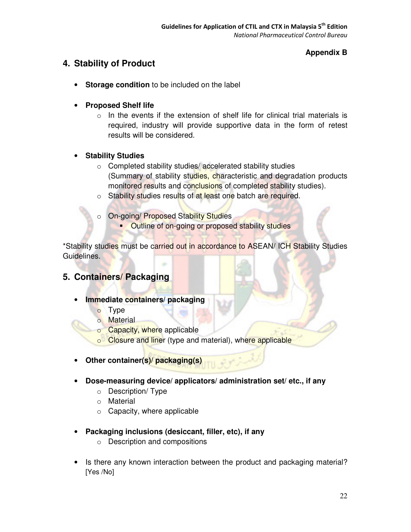## **4. Stability of Product**

- **Storage condition** to be included on the label
- **Proposed Shelf life** 
	- $\circ$  In the events if the extension of shelf life for clinical trial materials is required, industry will provide supportive data in the form of retest results will be considered.
- **Stability Studies** 
	- o Completed stability studies/ accelerated stability studies (Summary of stability studies, characteristic and degradation products monitored results and conclusions of completed stability studies).
	- o Stability studies results of at least one batch are required.
	- o On-going/ Proposed Stability Studies
		- Outline of on-going or proposed stability studies

\*Stability studies must be carried out in accordance to ASEAN/ ICH Stability Studies Guidelines.

## **5. Containers/ Packaging**

- **Immediate containers/ packaging** 
	- o Type
	- o Material
	- **Capacity, where applicable**
	- o Closure and liner (type and material), where applicable
- **Other container(s)/ packaging(s)**
- **Dose-measuring device/ applicators/ administration set/ etc., if any** 
	- o Description/ Type
	- o Material
	- $\circ$  Capacity, where applicable
- **Packaging inclusions (desiccant, filler, etc), if any** 
	- o Description and compositions
- Is there any known interaction between the product and packaging material? [Yes /No]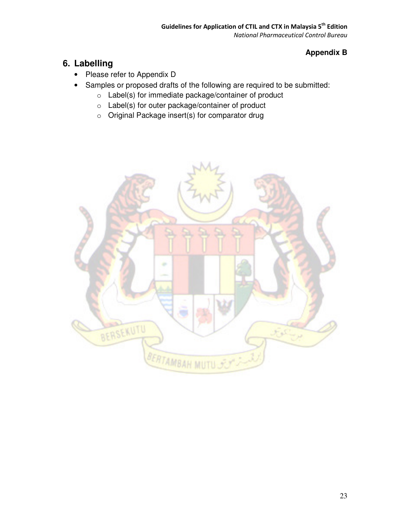## **6. Labelling**

- Please refer to Appendix D
- Samples or proposed drafts of the following are required to be submitted:
	- o Label(s) for immediate package/container of product
	- o Label(s) for outer package/container of product
	- o Original Package insert(s) for comparator drug

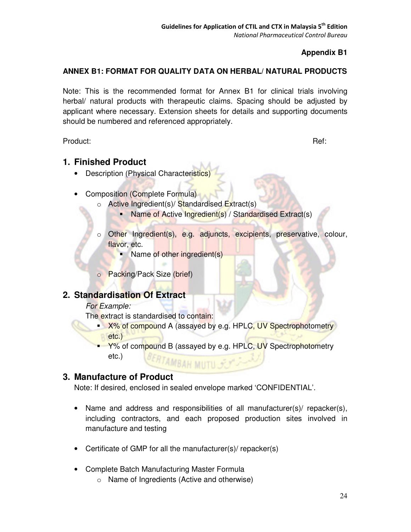#### **ANNEX B1: FORMAT FOR QUALITY DATA ON HERBAL/ NATURAL PRODUCTS**

Note: This is the recommended format for Annex B1 for clinical trials involving herbal/ natural products with therapeutic claims. Spacing should be adjusted by applicant where necessary. Extension sheets for details and supporting documents should be numbered and referenced appropriately.

Product: Ref:

## **1. Finished Product**

- **Description (Physical Characteristics)**
- Composition (Complete Formula)
	- o Active Ingredient(s)/ Standardised Extract(s)
		- Name of Active Ingredient(s) / Standardised Extract(s)
	- o Other Ingredient(s), e.g. adjuncts, excipients, preservative, colour, flavor, etc.
		- Name of other ingredient(s)
	- o Packing/Pack Size (brief)

## **2. Standardisation Of Extract**

#### For Example:

The extract is standardised to contain:

- X% of compound A (assayed by e.g. HPLC, UV Spectrophotometry etc.)
- Y% of compound B (assayed by e.g. HPLC, UV Spectrophotometry etc.) **HTAMBAH MUTU**

## **3. Manufacture of Product**

Note: If desired, enclosed in sealed envelope marked 'CONFIDENTIAL'.

- Name and address and responsibilities of all manufacturer(s)/ repacker(s), including contractors, and each proposed production sites involved in manufacture and testing
- Certificate of GMP for all the manufacturer(s)/ repacker(s)
- Complete Batch Manufacturing Master Formula
	- o Name of Ingredients (Active and otherwise)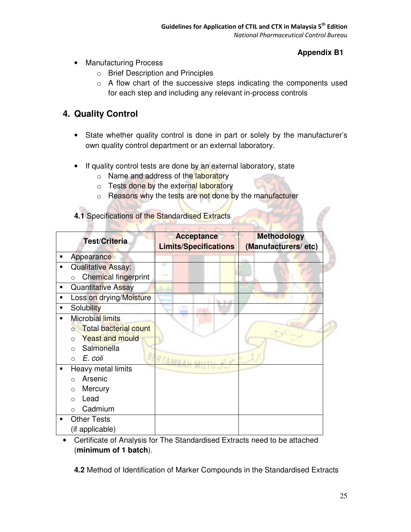- Manufacturing Process
	- o Brief Description and Principles
	- $\circ$  A flow chart of the successive steps indicating the components used for each step and including any relevant in-process controls

## **4. Quality Control**

- State whether quality control is done in part or solely by the manufacturer's own quality control department or an external laboratory.
- If quality control tests are done by an external laboratory, state
	- o Name and address of the laboratory
	- o Tests done by the external laboratory
	- o Reasons why the tests are not done by the manufacturer

## **4.1** Specifications of the Standardised Extracts

| <b>Test/Criteria</b>                    | <b>Acceptance</b><br><b>Limits/Specifications</b> | <b>Methodology</b><br>(Manufacturers/etc) |
|-----------------------------------------|---------------------------------------------------|-------------------------------------------|
| Appearance                              |                                                   |                                           |
| <b>Qualitative Assay:</b>               |                                                   |                                           |
| Chemical fingerprint<br>$\circ$         |                                                   |                                           |
| <b>Quantitative Assay</b>               |                                                   |                                           |
| Loss on drying/Moisture                 |                                                   |                                           |
| <b>Solubility</b>                       |                                                   |                                           |
| Microbial limits                        |                                                   |                                           |
| <b>Total bacterial count</b><br>$\circ$ |                                                   |                                           |
| <b>Yeast and mould</b><br>$\circ$       |                                                   |                                           |
| Salmonella<br>$\bigcirc$                |                                                   |                                           |
| E. coli<br>$\bigcirc$                   |                                                   |                                           |
| Heavy metal limits                      |                                                   |                                           |
| Arsenic<br>$\bigcirc$                   |                                                   |                                           |
| Mercury<br>$\circ$                      |                                                   |                                           |
| Lead<br>$\bigcirc$                      |                                                   |                                           |
| Cadmium<br>$\circ$                      |                                                   |                                           |
| <b>Other Tests</b>                      |                                                   |                                           |
| (if applicable)                         |                                                   |                                           |

• Certificate of Analysis for The Standardised Extracts need to be attached (**minimum of 1 batch**).

**4.2** Method of Identification of Marker Compounds in the Standardised Extracts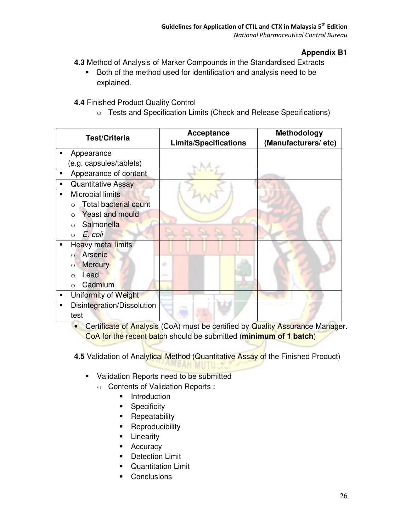- **4.3** Method of Analysis of Marker Compounds in the Standardised Extracts
	- Both of the method used for identification and analysis need to be explained.

**4.4** Finished Product Quality Control

o Tests and Specification Limits (Check and Release Specifications)

| <b>Test/Criteria</b>                                                  | Acceptance<br><b>Limits/Specifications</b> | <b>Methodology</b><br>(Manufacturers/etc) |
|-----------------------------------------------------------------------|--------------------------------------------|-------------------------------------------|
| Appearance                                                            |                                            |                                           |
| (e.g. capsules/tablets)                                               |                                            |                                           |
| Appearance of content                                                 |                                            |                                           |
| <b>Quantitative Assay</b>                                             |                                            |                                           |
| <b>Microbial limits</b><br><b>Total bacterial count</b><br>$\bigcirc$ |                                            |                                           |
| <b>Yeast and mould</b><br>$\circ$<br>Salmonella<br>E. coli            |                                            |                                           |
| Heavy metal limits<br>Arsenic<br>$\Omega$                             |                                            |                                           |
| <b>Mercury</b><br>$\circ$                                             |                                            |                                           |
| Lead                                                                  |                                            |                                           |
| Cadmium<br>$\circ$                                                    |                                            |                                           |
| Uniformity of Weight<br>٠                                             |                                            |                                           |
| Disintegration/Dissolution<br>test                                    |                                            |                                           |

• Certificate of Analysis (CoA) must be certified by Quality Assurance Manager. CoA for the recent batch should be submitted (**minimum of 1 batch**)

**4.5** Validation of Analytical Method (Quantitative Assay of the Finished Product)

- Validation Reports need to be submitted
	- o Contents of Validation Reports :
		- **Introduction**
		- **Specificity**
		- Repeatability
		- **-** Reproducibility
		- **-** Linearity
		- **-** Accuracy
		- **•** Detection Limit
		- **Quantitation Limit**
		- **Conclusions**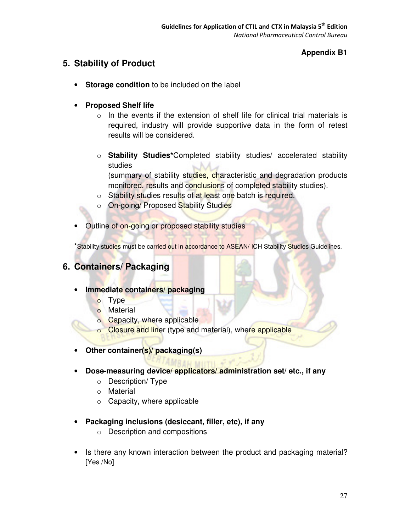## **5. Stability of Product**

- **Storage condition** to be included on the label
- **Proposed Shelf life** 
	- $\circ$  In the events if the extension of shelf life for clinical trial materials is required, industry will provide supportive data in the form of retest results will be considered.
	- o **Stability Studies\***Completed stability studies/ accelerated stability studies (summary of stability studies, characteristic and degradation products

monitored, results and conclusions of completed stability studies).

- o Stability studies results of at least one batch is required.
- o On-going/ Proposed Stability Studies
- Outline of on-going or proposed stability studies

\*Stability studies must be carried out in accordance to ASEAN/ ICH Stability Studies Guidelines.

## **6. Containers/ Packaging**

• **Immediate containers/ packaging** 

ì

- o Type
- o Material
- **o** Capacity, where applicable
- Closure and liner (type and material), where applicable
- **Other container(s)/ packaging(s)**
- **Dose-measuring device/ applicators/ administration set/ etc., if any** 
	- o Description/ Type
	- o Material
	- $\circ$  Capacity, where applicable
- **Packaging inclusions (desiccant, filler, etc), if any** 
	- o Description and compositions
- Is there any known interaction between the product and packaging material? [Yes /No]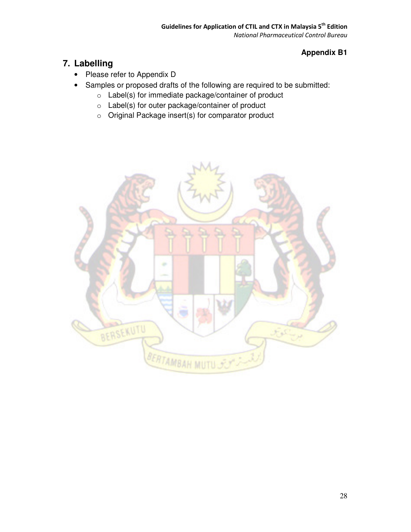## **7. Labelling**

- Please refer to Appendix D
- Samples or proposed drafts of the following are required to be submitted:
	- o Label(s) for immediate package/container of product
	- o Label(s) for outer package/container of product
	- o Original Package insert(s) for comparator product

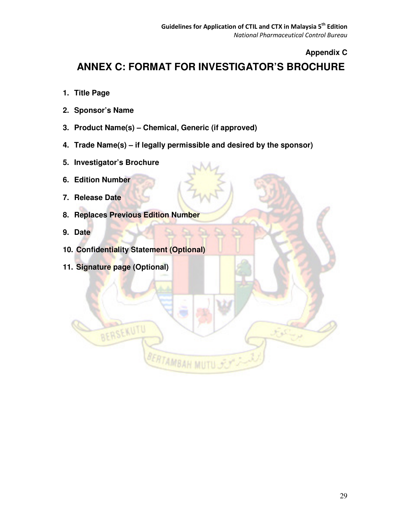## **Appendix C**

# **ANNEX C: FORMAT FOR INVESTIGATOR'S BROCHURE**

- **1. Title Page**
- **2. Sponsor's Name**
- **3. Product Name(s) Chemical, Generic (if approved)**
- **4. Trade Name(s) if legally permissible and desired by the sponsor)**

**RTAMBAH MUT** 

- **5. Investigator's Brochure**
- **6. Edition Number**
- **7. Release Date**
- **8. Replaces Previous Edition Number**
- **9. Date**
- **10. Confidentiality Statement (Optional)**
- **11. Signature page (Optional)**

BERSEKUT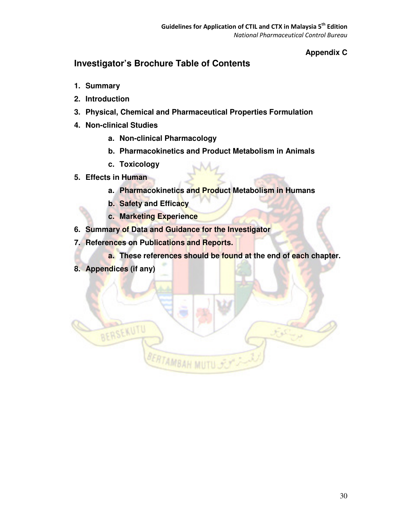#### **Appendix C**

## **Investigator's Brochure Table of Contents**

- **1. Summary**
- **2. Introduction**
- **3. Physical, Chemical and Pharmaceutical Properties Formulation**
- **4. Non-clinical Studies** 
	- **a. Non-clinical Pharmacology**
	- **b. Pharmacokinetics and Product Metabolism in Animals**
	- **c. Toxicology**
- **5. Effects in Human** 
	- **a. Pharmacokinetics and Product Metabolism in Humans**
	- **b. Safety and Efficacy**
	- **c. Marketing Experience**
- **6. Summary of Data and Guidance for the Investigator**

**RTAMBAH MUT** 

- **7. References on Publications and Reports.** 
	- **a. These references should be found at the end of each chapter.**
- **8. Appendices (if any)**

BERSEKUT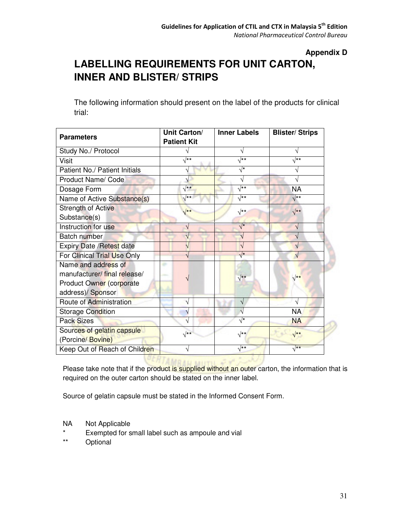**Appendix D** 

# **LABELLING REQUIREMENTS FOR UNIT CARTON, INNER AND BLISTER/ STRIPS**

The following information should present on the label of the products for clinical trial:

|                               | Unit Carton/       | <b>Inner Labels</b> | <b>Blister/Strips</b> |
|-------------------------------|--------------------|---------------------|-----------------------|
| <b>Parameters</b>             | <b>Patient Kit</b> |                     |                       |
| Study No./ Protocol           |                    |                     |                       |
| Visit                         | $\sqrt{**}$        | $\sqrt{**}$         | √**                   |
| Patient No./ Patient Initials |                    | $\sqrt{\star}$      |                       |
| Product Name/ Code            |                    |                     |                       |
| Dosage Form                   | $\sqrt{**}$        | $\sqrt{**}$         | ΝA                    |
| Name of Active Substance(s)   | **                 | $\sqrt{**}$         | $\sqrt{**}$           |
| Strength of Active            | **                 | $\sqrt{***}$        | $\sqrt{**}$           |
| Substance(s)                  |                    |                     |                       |
| Instruction for use           |                    | $\sqrt{\star}$      | V                     |
| Batch number                  |                    |                     |                       |
| Expiry Date / Retest date     |                    | $\sqrt{}$           |                       |
| For Clinical Trial Use Only   |                    | $\sqrt{\star}$      | V                     |
| Name and address of           |                    |                     |                       |
| manufacturer/final release/   |                    | $\sqrt{**}$         | $\sqrt{**}$           |
| Product Owner (corporate      |                    |                     |                       |
| address)/ Sponsor             |                    |                     |                       |
| Route of Administration       | ٦                  | V                   |                       |
| Storage Condition             | ٦                  |                     | <b>NA</b>             |
| Pack Sizes                    | ٦                  | $\sqrt{\star}$      | <b>NA</b>             |
| Sources of gelatin capsule    | $\sqrt{**}$        | $\sqrt{**}$         | $\sqrt{**}$           |
| (Porcine/Bovine)              |                    |                     |                       |
| Keep Out of Reach of Children |                    | $\sqrt{**}$         | $\sqrt{**}$           |

*<u>OERTAMOAU</u>* Please take note that if the product is supplied without an outer carton, the information that is required on the outer carton should be stated on the inner label.

 $A \rightarrow A$ 

Source of gelatin capsule must be stated in the Informed Consent Form.

- NA Not Applicable
- \* Exempted for small label such as ampoule and vial<br>\*\* Optional
- **Optional**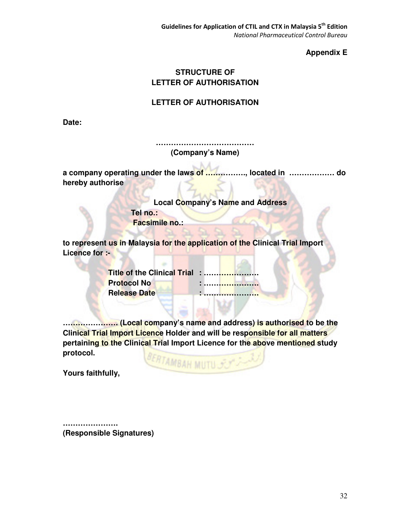**Appendix E** 

## **STRUCTURE OF LETTER OF AUTHORISATION**

## **LETTER OF AUTHORISATION**

**Date:** 

**………………………………… (Company's Name)** 

**a company operating under the laws of ……………., located in ……………… do hereby authorise** 

 **Local Company's Name and Address** 

**Tel no.: Facsimile no.:** 

**to represent us in Malaysia for the application of the Clinical Trial Import Licence for :-** 

| <b>Protocol No</b>  |   |
|---------------------|---|
| <b>Release Date</b> | . |

**…………………. (Local company's name and address) is authorised to be the Clinical Trial Import Licence Holder and will be responsible for all matters pertaining to the Clinical Trial Import Licence for the above mentioned study protocol. RTAMBAH MUT** 

**Yours faithfully,** 

**…………………. (Responsible Signatures)**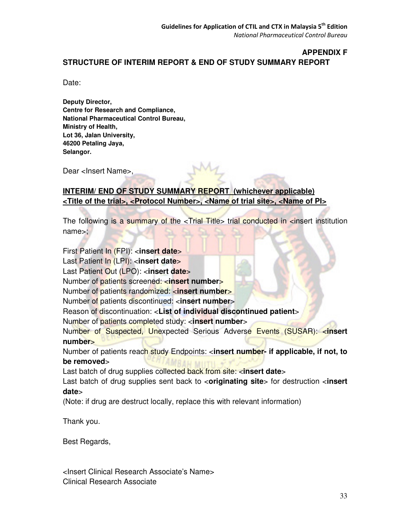## **APPENDIX F**

#### **STRUCTURE OF INTERIM REPORT & END OF STUDY SUMMARY REPORT**

Date:

**Deputy Director, Centre for Research and Compliance, National Pharmaceutical Control Bureau, Ministry of Health, Lot 36, Jalan University, 46200 Petaling Jaya, Selangor.** 

Dear <lnsert Name>,

## **INTERIM/ END OF STUDY SUMMARY REPORT (whichever applicable) <Title of the trial>, <Protocol Number>, <Name of trial site>, <Name of PI>**

The following is a summary of the <Trial Title> trial conducted in <insert institution name>;

First Patient In (FPI): <**insert date**> Last Patient In (LPI): <**insert date**> Last Patient Out (LPO): <**insert date**> Number of patients screened: <**insert number**> Number of patients randomized: <**insert number**> Number of patients discontinued: <**insert number**> Reason of discontinuation: <**List of individual discontinued patient**> Number of patients completed study: <**insert number**> Number of Suspected, Unexpected Serious Adverse Events (SUSAR): <**insert number**> Number of patients reach study Endpoints: <**insert number- if applicable, if not, to be removed**> Last batch of drug supplies collected back from site: <**insert date**> Last batch of drug supplies sent back to <**originating site**> for destruction <**insert date**> (Note: if drug are destruct locally, replace this with relevant information)

Thank you.

Best Regards,

<Insert Clinical Research Associate's Name> Clinical Research Associate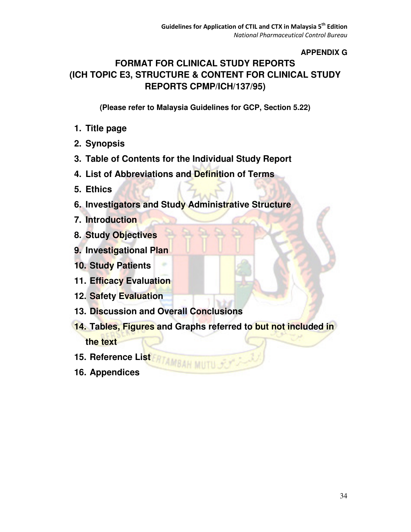## **APPENDIX G**

## **FORMAT FOR CLINICAL STUDY REPORTS (ICH TOPIC E3, STRUCTURE & CONTENT FOR CLINICAL STUDY REPORTS CPMP/ICH/137/95)**

**(Please refer to Malaysia Guidelines for GCP, Section 5.22)** 

- **1. Title page**
- **2. Synopsis**
- **3. Table of Contents for the Individual Study Report**
- **4. List of Abbreviations and Definition of Terms**
- **5. Ethics**
- **6. Investigators and Study Administrative Structure**
- **7. Introduction**
- **8. Study Objectives**
- **9. Investigational Plan**
- **10. Study Patients**
- **11. Efficacy Evaluation**
- **12. Safety Evaluation**
- **13. Discussion and Overall Conclusions**
- **14. Tables, Figures and Graphs referred to but not included in the text**
- **15. Reference List FRTAMBAH MUTL**
- **16. Appendices**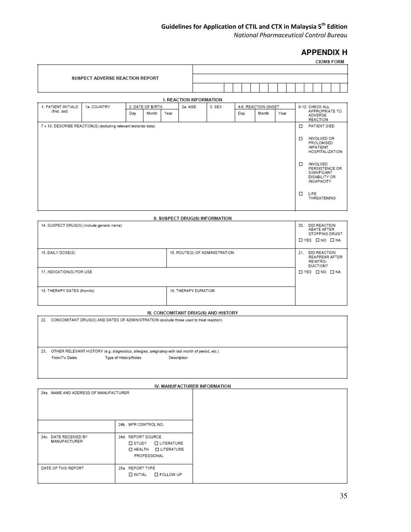## Guidelines for Application of CTIL and CTX in Malaysia 5<sup>th</sup> Edition

National Pharmaceutical Control Bureau

# **APPENDIX H**<br>CIOMS FORM

| SUSPECT ADVERSE REACTION REPORT                                                                                                                                                                                                                                                                    |             |                      |                                                                   |                                 |         |                                |        |  |     |  |                              |                       |  |             |                                                          |                                                                                                                                                            |  |  |
|----------------------------------------------------------------------------------------------------------------------------------------------------------------------------------------------------------------------------------------------------------------------------------------------------|-------------|----------------------|-------------------------------------------------------------------|---------------------------------|---------|--------------------------------|--------|--|-----|--|------------------------------|-----------------------|--|-------------|----------------------------------------------------------|------------------------------------------------------------------------------------------------------------------------------------------------------------|--|--|
|                                                                                                                                                                                                                                                                                                    |             |                      |                                                                   |                                 |         |                                |        |  |     |  |                              |                       |  |             |                                                          |                                                                                                                                                            |  |  |
| I. REACTION INFORMATION                                                                                                                                                                                                                                                                            |             |                      |                                                                   |                                 |         |                                |        |  |     |  |                              |                       |  |             |                                                          |                                                                                                                                                            |  |  |
| 1. PATIENT INITIALS<br>(first, last)                                                                                                                                                                                                                                                               | 1a. COUNTRY | Day                  | 2. DATE OF BIRTH<br>Month                                         | Year                            | 2a. AGE |                                | 3. SEX |  | Day |  | 4-6. REACTION ONSET<br>Month | Year                  |  |             | 8-12. CHECK ALL<br>APPROPRIATE TO<br>ADVERSE<br>REACTION |                                                                                                                                                            |  |  |
| 7 + 13. DESCRIBE REACTION(S) (including relevant tests/lab data)                                                                                                                                                                                                                                   |             |                      |                                                                   |                                 |         |                                |        |  |     |  |                              | <b>D</b> PATIENT DIED |  |             |                                                          |                                                                                                                                                            |  |  |
|                                                                                                                                                                                                                                                                                                    |             |                      |                                                                   |                                 |         |                                |        |  |     |  |                              |                       |  | $\Box$<br>□ | LIFE                                                     | INVOLVED OR<br>PROLONGED<br>INPATIENT<br><b>HOSPITALIZATION</b><br>INVOLVED<br>PERSISTENCE OR<br>SIGNIFICANT<br>DISABILITY OR<br>INCAPACITY<br>THREATENING |  |  |
|                                                                                                                                                                                                                                                                                                    |             |                      |                                                                   |                                 |         |                                |        |  |     |  |                              |                       |  |             |                                                          |                                                                                                                                                            |  |  |
| 14. SUSPECT DRUG(S) (include generic name)                                                                                                                                                                                                                                                         |             |                      |                                                                   | II. SUSPECT DRUG(S) INFORMATION |         |                                |        |  |     |  |                              |                       |  |             |                                                          | 20. DID REACTION<br>ABATE AFTER<br>STOPPING DRUG?<br>□ YES □ NO □ NA                                                                                       |  |  |
| 15. DAILY DOSE(S)                                                                                                                                                                                                                                                                                  |             |                      |                                                                   |                                 |         | 16. ROUTE(S) OF ADMINISTRATION |        |  |     |  |                              |                       |  |             |                                                          | 21. DID REACTION<br>REAPPEAR AFTER<br>REINTRO-<br>DUCTION?                                                                                                 |  |  |
| 17. INDICATION(S) FOR USE                                                                                                                                                                                                                                                                          |             |                      |                                                                   |                                 |         |                                |        |  |     |  |                              |                       |  |             |                                                          | □ YES □ NO □ NA                                                                                                                                            |  |  |
| 18. THERAPY DATES (from/to)                                                                                                                                                                                                                                                                        |             |                      |                                                                   |                                 |         | 19. THERAPY DURATION           |        |  |     |  |                              |                       |  |             |                                                          |                                                                                                                                                            |  |  |
|                                                                                                                                                                                                                                                                                                    |             |                      |                                                                   |                                 |         |                                |        |  |     |  |                              |                       |  |             |                                                          |                                                                                                                                                            |  |  |
| III. CONCOMITANT DRUG(S) AND HISTORY<br>22. CONCOMITANT DRUG(S) AND DATES OF ADMINISTRATION (exclude those used to treat reaction)<br>23. OTHER RELEVANT HISTORY (e.g. diagnostics, allergies, pregnancy with last month of period, etc.)<br>From/To Dates<br>Type of History/Notes<br>Description |             |                      |                                                                   |                                 |         |                                |        |  |     |  |                              |                       |  |             |                                                          |                                                                                                                                                            |  |  |
|                                                                                                                                                                                                                                                                                                    |             |                      |                                                                   |                                 |         |                                |        |  |     |  |                              |                       |  |             |                                                          |                                                                                                                                                            |  |  |
|                                                                                                                                                                                                                                                                                                    |             |                      |                                                                   | IV. MANUFACTURER INFORMATION    |         |                                |        |  |     |  |                              |                       |  |             |                                                          |                                                                                                                                                            |  |  |
| 24a. NAME AND ADDRESS OF MANUFACTURER                                                                                                                                                                                                                                                              |             |                      |                                                                   |                                 |         |                                |        |  |     |  |                              |                       |  |             |                                                          |                                                                                                                                                            |  |  |
|                                                                                                                                                                                                                                                                                                    |             | 24b. MFR CONTROL NO. |                                                                   |                                 |         |                                |        |  |     |  |                              |                       |  |             |                                                          |                                                                                                                                                            |  |  |
| 24c. DATE RECEIVED BY<br>MANUFACTURER                                                                                                                                                                                                                                                              |             | 24d. REPORT SOURCE   | STUDY <b>DLITERATURE</b><br>□ HEALTH □ LITERATURE<br>PROFESSIONAL |                                 |         |                                |        |  |     |  |                              |                       |  |             |                                                          |                                                                                                                                                            |  |  |

DATE OF THIS REPORT

25a. REPORT TYPE

 $\begin{tabular}{|c|c|c|} \hline & \textbf{INIT}|\textbf{AL} & \textbf{L} & \textbf{FOLLOW UP} \end{tabular}$ 

**APPENDIX I**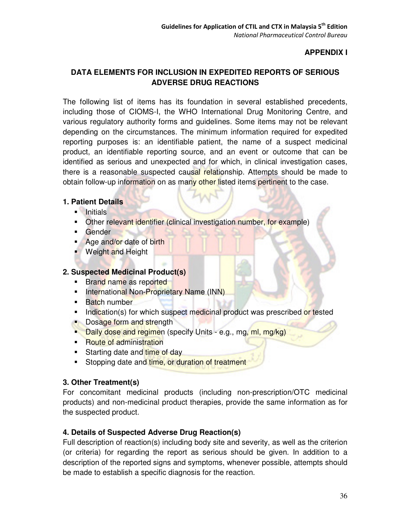#### **APPENDIX I**

## **DATA ELEMENTS FOR INCLUSION IN EXPEDITED REPORTS OF SERIOUS ADVERSE DRUG REACTIONS**

The following list of items has its foundation in several established precedents, including those of CIOMS-I, the WHO International Drug Monitoring Centre, and various regulatory authority forms and guidelines. Some items may not be relevant depending on the circumstances. The minimum information required for expedited reporting purposes is: an identifiable patient, the name of a suspect medicinal product, an identifiable reporting source, and an event or outcome that can be identified as serious and unexpected and for which, in clinical investigation cases, there is a reasonable suspected causal relationship. Attempts should be made to obtain follow-up information on as many other listed items pertinent to the case.

#### **1. Patient Details**

- **Initials**
- Other relevant identifier (clinical investigation number, for example)
- **Gender**
- Age and/or date of birth
- **Weight and Height**

#### **2. Suspected Medicinal Product(s)**

- **Brand name as reported**
- **International Non-Proprietary Name (INN)**
- Batch number
- Indication(s) for which suspect medicinal product was prescribed or tested
- Dosage form and strength
- Daily dose and regimen (specify Units e.g., mg, ml, mg/kg)
- Route of administration
- Starting date and time of day
- Stopping date and time, or duration of treatment

#### **3. Other Treatment(s)**

For concomitant medicinal products (including non-prescription/OTC medicinal products) and non-medicinal product therapies, provide the same information as for the suspected product.

#### **4. Details of Suspected Adverse Drug Reaction(s)**

Full description of reaction(s) including body site and severity, as well as the criterion (or criteria) for regarding the report as serious should be given. In addition to a description of the reported signs and symptoms, whenever possible, attempts should be made to establish a specific diagnosis for the reaction.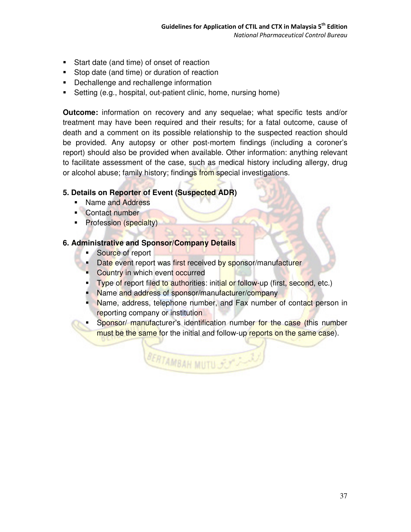- Start date (and time) of onset of reaction
- **Stop date (and time) or duration of reaction**
- **•** Dechallenge and rechallenge information
- Setting (e.g., hospital, out-patient clinic, home, nursing home)

**Outcome:** information on recovery and any sequelae; what specific tests and/or treatment may have been required and their results; for a fatal outcome, cause of death and a comment on its possible relationship to the suspected reaction should be provided. Any autopsy or other post-mortem findings (including a coroner's report) should also be provided when available. Other information: anything relevant to facilitate assessment of the case, such as medical history including allergy, drug or alcohol abuse; family history; findings from special investigations.

## **5. Details on Reporter of Event (Suspected ADR)**

- Name and Address
- **Contact number**
- **Profession (specialty)**

#### **6. Administrative and Sponsor/Company Details**

- Source of report
- Date event report was first received by sponsor/manufacturer
- Country in which event occurred
- **Type of report filed to authorities: initial or follow-up (first, second, etc.)**
- Name and address of sponsor/manufacturer/company

**BERTAMBAH MUTU SU** 

- Name, address, telephone number, and Fax number of contact person in reporting company or institution
- Sponsor/ manufacturer's identification number for the case (this number must be the same for the initial and follow-up reports on the same case).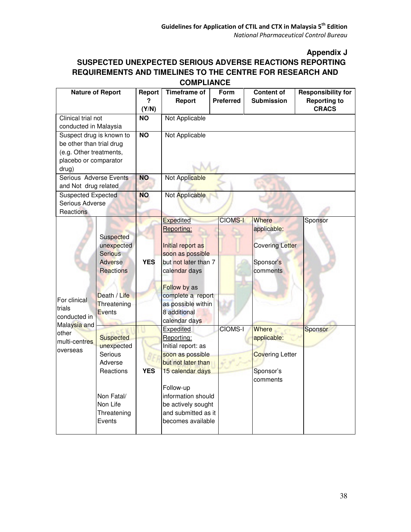## **Appendix J SUSPECTED UNEXPECTED SERIOUS ADVERSE REACTIONS REPORTING REQUIREMENTS AND TIMELINES TO THE CENTRE FOR RESEARCH AND COMPLIANCE**

| <b>Nature of Report</b>   |                  | Report     | <b>Timeframe of</b>                     | Form             | <b>Content of</b>      | <b>Responsibility for</b> |
|---------------------------|------------------|------------|-----------------------------------------|------------------|------------------------|---------------------------|
|                           |                  | ?          | Report                                  | <b>Preferred</b> | <b>Submission</b>      | <b>Reporting to</b>       |
|                           |                  | (Y/N)      |                                         |                  |                        | <b>CRACS</b>              |
| Clinical trial not        |                  | <b>NO</b>  | Not Applicable                          |                  |                        |                           |
| conducted in Malaysia     |                  |            |                                         |                  |                        |                           |
| Suspect drug is known to  |                  | <b>NO</b>  | Not Applicable                          |                  |                        |                           |
| be other than trial drug  |                  |            |                                         |                  |                        |                           |
| (e.g. Other treatments,   |                  |            |                                         |                  |                        |                           |
| placebo or comparator     |                  |            |                                         |                  |                        |                           |
| drug)                     |                  |            |                                         |                  |                        |                           |
| Serious Adverse Events    |                  | <b>NO</b>  | Not Applicable                          |                  |                        |                           |
| and Not drug related      |                  |            |                                         |                  |                        |                           |
| <b>Suspected Expected</b> |                  | <b>NO</b>  | Not Applicable                          |                  |                        |                           |
| Serious Adverse           |                  |            |                                         |                  |                        |                           |
| <b>Reactions</b>          |                  |            |                                         |                  |                        |                           |
|                           |                  |            | Expedited                               | <b>CIOMS-I</b>   | <b>Where</b>           | Sponsor                   |
|                           |                  |            | Reporting:                              |                  | applicable:            |                           |
|                           | Suspected        |            |                                         |                  |                        |                           |
|                           | unexpected       |            | Initial report as                       |                  | <b>Covering Letter</b> |                           |
|                           | <b>Serious</b>   |            | soon as possible                        |                  |                        |                           |
|                           | <b>Adverse</b>   | <b>YES</b> | but not later than 7                    |                  | Sponsor's              |                           |
|                           | Reactions        |            | calendar days                           |                  | comments               |                           |
|                           |                  |            |                                         |                  |                        |                           |
|                           | Death / Life     |            | Follow by as                            |                  |                        |                           |
| For clinical              | Threatening      |            | complete a report<br>as possible within |                  |                        |                           |
| trials                    | Events           |            | 8 additional                            |                  |                        |                           |
| conducted in              |                  |            | calendar days                           |                  |                        |                           |
| Malaysia and              |                  |            | <b>Expedited</b>                        | <b>CIOMS-I</b>   | <b>Where</b>           | Sponsor                   |
| other                     | <b>Suspected</b> |            | Reporting:                              |                  | applicable:            |                           |
| multi-centres             | unexpected       |            | Initial report: as                      |                  |                        |                           |
| overseas                  | Serious          |            | soon as possible                        |                  | <b>Covering Letter</b> |                           |
|                           | Adverse          |            | but not later than                      |                  |                        |                           |
|                           | Reactions        | <b>YES</b> | 15 calendar days                        |                  | Sponsor's              |                           |
|                           |                  |            |                                         |                  | comments               |                           |
|                           |                  |            | Follow-up                               |                  |                        |                           |
|                           | Non Fatal/       |            | information should                      |                  |                        |                           |
|                           | Non Life         |            | be actively sought                      |                  |                        |                           |
|                           | Threatening      |            | and submitted as it                     |                  |                        |                           |
|                           | Events           |            | becomes available                       |                  |                        |                           |
|                           |                  |            |                                         |                  |                        |                           |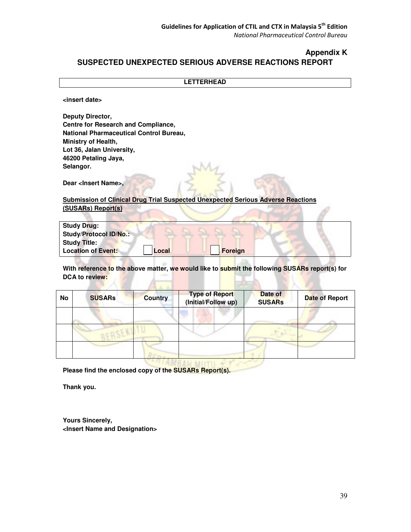#### **Appendix K SUSPECTED UNEXPECTED SERIOUS ADVERSE REACTIONS REPORT**

**LETTERHEAD** 

| <insert date=""></insert>                                                        |
|----------------------------------------------------------------------------------|
| <b>Deputy Director,</b>                                                          |
| <b>Centre for Research and Compliance,</b>                                       |
| <b>National Pharmaceutical Control Bureau,</b>                                   |
| <b>Ministry of Health,</b>                                                       |
| Lot 36, Jalan University,                                                        |
| 46200 Petaling Jaya,                                                             |
| Selangor.                                                                        |
| Dear <lnsert name="">.</lnsert>                                                  |
| Submission of Clinical Drug Trial Suspected Unexpected Serious Adverse Reactions |
| (SUSARs) Report(s)                                                               |

| <b>Study Drug:</b>        |       |         |  |
|---------------------------|-------|---------|--|
| Study/Protocol ID/No.:    |       |         |  |
| <b>Study Title:</b>       |       |         |  |
| <b>Location of Event:</b> | Local | Foreign |  |

With reference to the above matter, we would like to submit the following SUSARs report(s) for **DCA to review:** 

| <b>No</b> | <b>SUSARs</b> | <b>Country</b> | Date of<br><b>SUSARs</b> | Date of Report |  |
|-----------|---------------|----------------|--------------------------|----------------|--|
|           |               |                |                          |                |  |
|           |               |                |                          |                |  |
|           |               |                |                          |                |  |
|           |               |                |                          |                |  |

**Please find the enclosed copy of the SUSARs Report(s).** 

**Thank you.** 

**Yours Sincerely, <Insert Name and Designation>**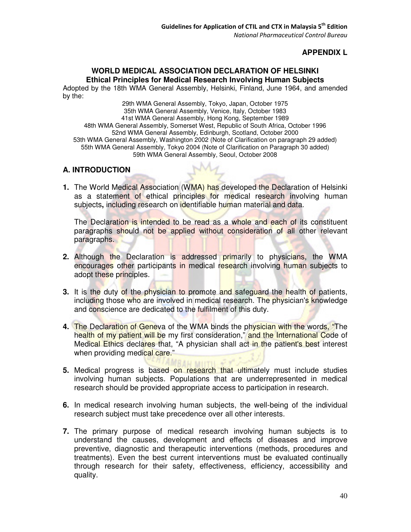#### **APPENDIX L**

#### **WORLD MEDICAL ASSOCIATION DECLARATION OF HELSINKI Ethical Principles for Medical Research Involving Human Subjects**

Adopted by the 18th WMA General Assembly, Helsinki, Finland, June 1964, and amended by the:

29th WMA General Assembly, Tokyo, Japan, October 1975 35th WMA General Assembly, Venice, Italy, October 1983 41st WMA General Assembly, Hong Kong, September 1989 48th WMA General Assembly, Somerset West, Republic of South Africa, October 1996 52nd WMA General Assembly, Edinburgh, Scotland, October 2000 53th WMA General Assembly, Washington 2002 (Note of Clarification on paragraph 29 added) 55th WMA General Assembly, Tokyo 2004 (Note of Clarification on Paragraph 30 added) 59th WMA General Assembly, Seoul, October 2008

#### **A. INTRODUCTION**

**1.** The World Medical Association (WMA) has developed the Declaration of Helsinki as a statement of ethical principles for medical research involving human subjects**,** including research on identifiable human material and data.

The Declaration is intended to be read as a whole and each of its constituent paragraphs should not be applied without consideration of all other relevant paragraphs.

- **2.** Although the Declaration is addressed primarily to physicians, the WMA encourages other participants in medical research involving human subjects to adopt these principles.
- **3.** It is the duty of the physician to promote and safeguard the health of patients, including those who are involved in medical research. The physician's knowledge and conscience are dedicated to the fulfilment of this duty.
- **4.** The Declaration of Geneva of the WMA binds the physician with the words, "The health of my patient will be my first consideration," and the International Code of Medical Ethics declares that, "A physician shall act in the patient's best interest when providing medical care."
- **5.** Medical progress is based on research that ultimately must include studies involving human subjects. Populations that are underrepresented in medical research should be provided appropriate access to participation in research.
- **6.** In medical research involving human subjects, the well-being of the individual research subject must take precedence over all other interests.
- **7.** The primary purpose of medical research involving human subjects is to understand the causes, development and effects of diseases and improve preventive, diagnostic and therapeutic interventions (methods, procedures and treatments). Even the best current interventions must be evaluated continually through research for their safety, effectiveness, efficiency, accessibility and quality.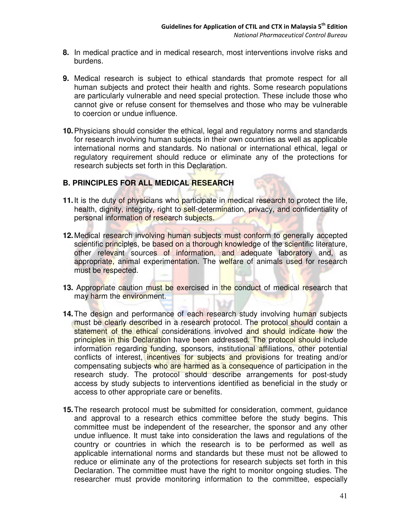- **8.** In medical practice and in medical research, most interventions involve risks and burdens.
- **9.** Medical research is subject to ethical standards that promote respect for all human subjects and protect their health and rights. Some research populations are particularly vulnerable and need special protection. These include those who cannot give or refuse consent for themselves and those who may be vulnerable to coercion or undue influence.
- **10.** Physicians should consider the ethical, legal and regulatory norms and standards for research involving human subjects in their own countries as well as applicable international norms and standards. No national or international ethical, legal or regulatory requirement should reduce or eliminate any of the protections for research subjects set forth in this Declaration.

#### **B. PRINCIPLES FOR ALL MEDICAL RESEARCH**

- **11.** It is the duty of physicians who participate in medical research to protect the life, health, dignity, integrity, right to self-determination, privacy, and confidentiality of personal information of research subjects.
- **12.** Medical research involving human subjects must conform to generally accepted scientific principles, be based on a thorough knowledge of the scientific literature, other relevant sources of information, and adequate laboratory and, as appropriate, animal experimentation. The welfare of animals used for research must be respected.
- **13.** Appropriate caution must be exercised in the conduct of medical research that may harm the environment.
- **14.** The design and performance of each research study involving human subjects must be clearly described in a research protocol. The protocol should contain a statement of the ethical considerations involved and should indicate how the principles in this Declaration have been addressed. The protocol should include information regarding funding, sponsors, institutional affiliations, other potential conflicts of interest, incentives for subjects and provisions for treating and/or compensating subjects who are harmed as a consequence of participation in the research study. The protocol should describe arrangements for post-study access by study subjects to interventions identified as beneficial in the study or access to other appropriate care or benefits.
- **15.** The research protocol must be submitted for consideration, comment, guidance and approval to a research ethics committee before the study begins. This committee must be independent of the researcher, the sponsor and any other undue influence. It must take into consideration the laws and regulations of the country or countries in which the research is to be performed as well as applicable international norms and standards but these must not be allowed to reduce or eliminate any of the protections for research subjects set forth in this Declaration. The committee must have the right to monitor ongoing studies. The researcher must provide monitoring information to the committee, especially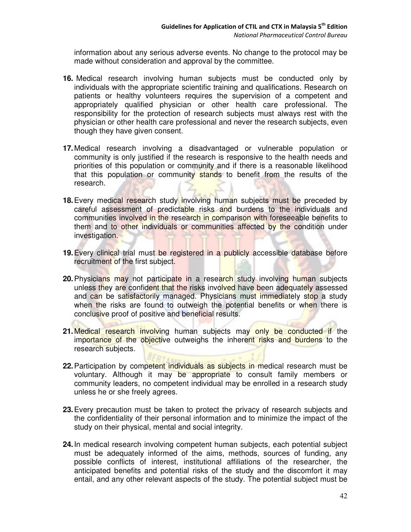information about any serious adverse events. No change to the protocol may be made without consideration and approval by the committee.

- **16.** Medical research involving human subjects must be conducted only by individuals with the appropriate scientific training and qualifications. Research on patients or healthy volunteers requires the supervision of a competent and appropriately qualified physician or other health care professional. The responsibility for the protection of research subjects must always rest with the physician or other health care professional and never the research subjects, even though they have given consent.
- **17.** Medical research involving a disadvantaged or vulnerable population or community is only justified if the research is responsive to the health needs and priorities of this population or community and if there is a reasonable likelihood that this population or community stands to benefit from the results of the research.
- **18.** Every medical research study involving human subjects must be preceded by careful assessment of predictable risks and burdens to the individuals and communities involved in the research in comparison with foreseeable benefits to them and to other individuals or communities affected by the condition under investigation.
- **19.** Every clinical trial must be registered in a publicly accessible database before recruitment of the first subject.
- **20. Physicians may not participate in a research study involving human subjects** unless they are confident that the risks involved have been adequately assessed and can be satisfactorily managed. Physicians must immediately stop a study when the risks are found to outweigh the potential benefits or when there is conclusive proof of positive and beneficial results.
- 21. Medical research involving human subjects may only be conducted if the importance of the objective outweighs the inherent risks and burdens to the research subjects.
- 22. Participation by competent individuals as subjects in medical research must be voluntary. Although it may be appropriate to consult family members or community leaders, no competent individual may be enrolled in a research study unless he or she freely agrees.
- **23.** Every precaution must be taken to protect the privacy of research subjects and the confidentiality of their personal information and to minimize the impact of the study on their physical, mental and social integrity.
- **24.** In medical research involving competent human subjects, each potential subject must be adequately informed of the aims, methods, sources of funding, any possible conflicts of interest, institutional affiliations of the researcher, the anticipated benefits and potential risks of the study and the discomfort it may entail, and any other relevant aspects of the study. The potential subject must be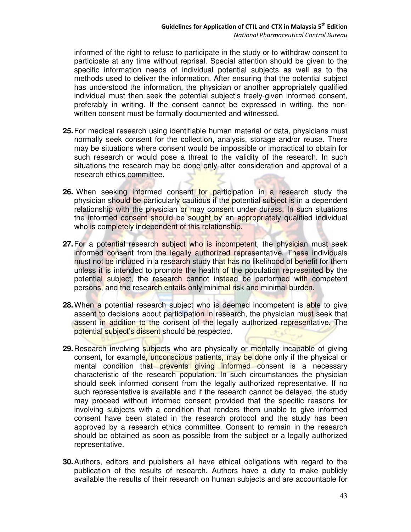informed of the right to refuse to participate in the study or to withdraw consent to participate at any time without reprisal. Special attention should be given to the specific information needs of individual potential subjects as well as to the methods used to deliver the information. After ensuring that the potential subject has understood the information, the physician or another appropriately qualified individual must then seek the potential subject's freely-given informed consent, preferably in writing. If the consent cannot be expressed in writing, the nonwritten consent must be formally documented and witnessed.

- **25.** For medical research using identifiable human material or data, physicians must normally seek consent for the collection, analysis, storage and/or reuse. There may be situations where consent would be impossible or impractical to obtain for such research or would pose a threat to the validity of the research. In such situations the research may be done only after consideration and approval of a research ethics committee.
- **26.** When seeking informed consent for participation in a research study the physician should be particularly cautious if the potential subject is in a dependent relationship with the physician or may consent under duress. In such situations the informed consent should be sought by an appropriately qualified individual who is completely independent of this relationship.
- 27. For a potential research subject who is incompetent, the physician must seek informed consent from the legally authorized representative. These individuals must not be included in a research study that has no likelihood of benefit for them unless it is intended to promote the health of the population represented by the potential subject, the research cannot instead be performed with competent persons, and the research entails only minimal risk and minimal burden.
- **28.** When a potential research subject who is deemed incompetent is able to give assent to decisions about participation in research, the physician must seek that assent in addition to the consent of the legally authorized representative. The potential subject's dissent should be respected.
- 29. Research involving subjects who are physically or mentally incapable of giving consent, for example, unconscious patients, may be done only if the physical or mental condition that prevents giving informed consent is a necessary characteristic of the research population. In such circumstances the physician should seek informed consent from the legally authorized representative. If no such representative is available and if the research cannot be delayed, the study may proceed without informed consent provided that the specific reasons for involving subjects with a condition that renders them unable to give informed consent have been stated in the research protocol and the study has been approved by a research ethics committee. Consent to remain in the research should be obtained as soon as possible from the subject or a legally authorized representative.
- **30.** Authors, editors and publishers all have ethical obligations with regard to the publication of the results of research. Authors have a duty to make publicly available the results of their research on human subjects and are accountable for